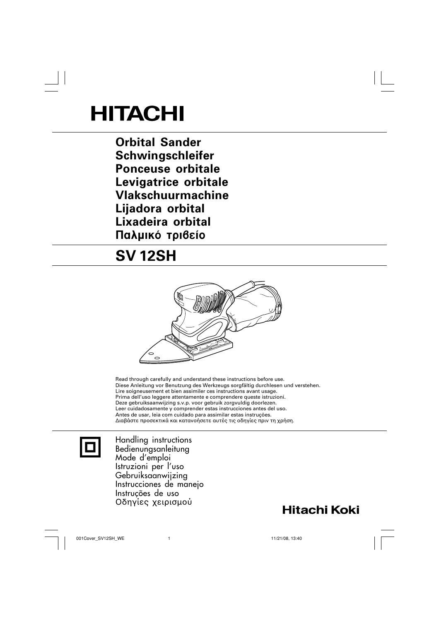# **HITACHI**

**Orbital Sander Schwingschleifer Ponceuse orbitale Levigatrice orbitale Vlakschuurmachine Lijadora orbital Lixadeira orbital Παλμικό τριβείο** 

## **SV 12SH**



Read through carefully and understand these instructions before use. Diese Anleitung vor Benutzung des Werkzeugs sorgfältig durchlesen und verstehen. Lire soigneusement et bien assimiler ces instructions avant usage. Prima dell'uso leggere attentamente e comprendere queste istruzioni. Deze gebruiksaanwijzing s.v.p. voor gebruik zorgvuldig doorlezen. Leer cuidadosamente y comprender estas instrucciones antes del uso. Antes de usar, leia com cuidado para assimilar estas instruções. Διαβάστε προσεκτικά και κατανοήσετε αυτές τις οδηγίες πριν τη χρήση.

 $\Box$ 

Handling instructions Bedienungsanleitung Mode d'emploi Istruzioni per l'uso Gebruiksaanwijzing Instrucciones de manejo Instruções de uso δηγίες ειρισµύ

## **Hitachi Koki**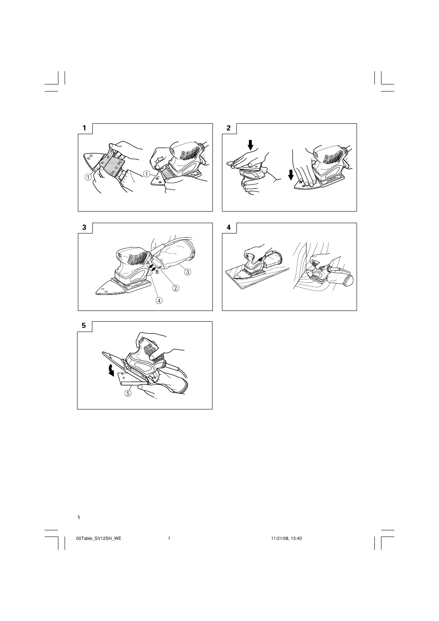







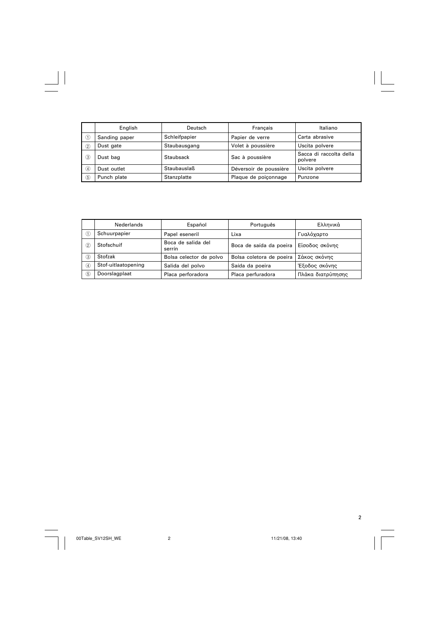|               | English       | Deutsch          | Francais               | Italiano                           |  |  |  |  |  |
|---------------|---------------|------------------|------------------------|------------------------------------|--|--|--|--|--|
|               | Sanding paper | Schleifpapier    | Papier de verre        | Carta abrasive                     |  |  |  |  |  |
| $\circled{2}$ | Dust gate     | Staubausgang     | Volet à poussière      | Uscita polvere                     |  |  |  |  |  |
| $\circled{3}$ | Dust bag      | <b>Staubsack</b> | Sac à poussière        | Sacca di raccolta della<br>polvere |  |  |  |  |  |
| $\circ$       | Dust outlet   | Staubauslaß      | Déversoir de poussière | Uscita polvere                     |  |  |  |  |  |
| (5)           | Punch plate   | Stanzplatte      | Plaque de poiçonnage   | Punzone                            |  |  |  |  |  |

|               | <b>Nederlands</b>   | Español                      | Português                                | Ελληνικά          |
|---------------|---------------------|------------------------------|------------------------------------------|-------------------|
|               | Schuurpapier        | Papel eseneril               | Lixa                                     | Γυαλόχαρτο        |
| (2)           | Stofschuif          | Boca de salida del<br>serrín | Boca de saída da poeira   Είσοδος σκόνης |                   |
| (3)           | Stofzak             | Bolsa celector de polvo      | Bolsa coletora de poeira                 | Σάκος σκόνης      |
| $\circled{4}$ | Stof-uitlaatopening | Salida del polvo             | Saída da poeira                          | Έξοδος σκόνης     |
| (5)           | Doorslagplaat       | Placa perforadora            | Placa perfuradora                        | Πλάκα διατρύπησης |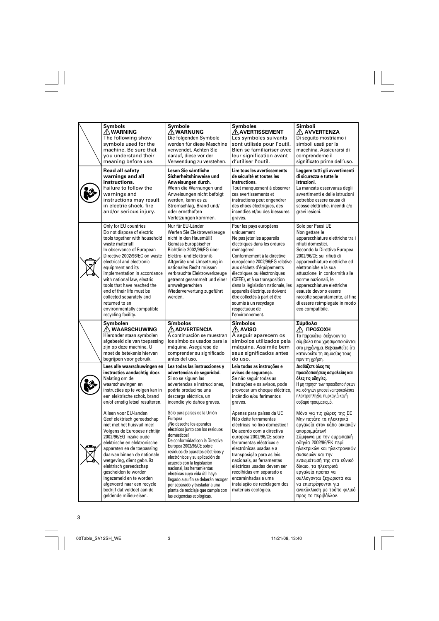| <b>Symbols</b>                                                                                                                                                                                                                                                                                                                                                                                                                                        | Symbole                                                                                                                                                                                                                                                                                                                                                                                                                                                                                                   | <b>Symboles</b>                                                                                                                                                                                                                                                                                                                                                                                                                                         | <b>Simboli</b>                                                                                                                                                                                                                                                                                                                                                                                                              |
|-------------------------------------------------------------------------------------------------------------------------------------------------------------------------------------------------------------------------------------------------------------------------------------------------------------------------------------------------------------------------------------------------------------------------------------------------------|-----------------------------------------------------------------------------------------------------------------------------------------------------------------------------------------------------------------------------------------------------------------------------------------------------------------------------------------------------------------------------------------------------------------------------------------------------------------------------------------------------------|---------------------------------------------------------------------------------------------------------------------------------------------------------------------------------------------------------------------------------------------------------------------------------------------------------------------------------------------------------------------------------------------------------------------------------------------------------|-----------------------------------------------------------------------------------------------------------------------------------------------------------------------------------------------------------------------------------------------------------------------------------------------------------------------------------------------------------------------------------------------------------------------------|
| ∕∆ WARNING                                                                                                                                                                                                                                                                                                                                                                                                                                            | ∕∆WARNUNG                                                                                                                                                                                                                                                                                                                                                                                                                                                                                                 | ∕∆AVERTISSEMENT                                                                                                                                                                                                                                                                                                                                                                                                                                         | ∕∆ AVVERTENZA                                                                                                                                                                                                                                                                                                                                                                                                               |
| The following show                                                                                                                                                                                                                                                                                                                                                                                                                                    | Die folgenden Symbole                                                                                                                                                                                                                                                                                                                                                                                                                                                                                     | Les symboles suivants                                                                                                                                                                                                                                                                                                                                                                                                                                   | Di seguito mostriamo i                                                                                                                                                                                                                                                                                                                                                                                                      |
| symbols used for the                                                                                                                                                                                                                                                                                                                                                                                                                                  | werden für diese Maschine                                                                                                                                                                                                                                                                                                                                                                                                                                                                                 | sont utilisés pour l'outil.                                                                                                                                                                                                                                                                                                                                                                                                                             | simboli usati per la                                                                                                                                                                                                                                                                                                                                                                                                        |
| machine. Be sure that                                                                                                                                                                                                                                                                                                                                                                                                                                 | verwendet. Achten Sie                                                                                                                                                                                                                                                                                                                                                                                                                                                                                     | Bien se familiariser avec                                                                                                                                                                                                                                                                                                                                                                                                                               | macchina. Assicurarsi di                                                                                                                                                                                                                                                                                                                                                                                                    |
| you understand their                                                                                                                                                                                                                                                                                                                                                                                                                                  | darauf, diese vor der                                                                                                                                                                                                                                                                                                                                                                                                                                                                                     | leur signification avant                                                                                                                                                                                                                                                                                                                                                                                                                                | comprenderne il                                                                                                                                                                                                                                                                                                                                                                                                             |
| meaning before use.                                                                                                                                                                                                                                                                                                                                                                                                                                   | Verwendung zu verstehen.                                                                                                                                                                                                                                                                                                                                                                                                                                                                                  | d'utiliser l'outil.                                                                                                                                                                                                                                                                                                                                                                                                                                     | significato prima dell'uso.                                                                                                                                                                                                                                                                                                                                                                                                 |
| <b>Read all safety</b><br>warnings and all<br>instructions.<br>Failure to follow the<br>warnings and<br>instructions may result<br>in electric shock, fire<br>and/or serious injury.                                                                                                                                                                                                                                                                  | Lesen Sie sämtliche<br>Sicherheitshinweise und<br>Anweisungen durch.<br>Wenn die Warnungen und<br>Anweisungen nicht befolgt<br>werden, kann es zu<br>Stromschlag, Brand und/<br>oder ernsthaften<br>Verletzungen kommen.                                                                                                                                                                                                                                                                                  | Lire tous les avertissements<br>de sécurité et toutes les<br>instructions.<br>Tout manquement à observer<br>ces avertissements et<br>instructions peut engendrer<br>des chocs électriques, des<br>incendies et/ou des blessures<br>graves.                                                                                                                                                                                                              | Leggere tutti gli avvertimenti<br>di sicurezza e tutte le<br>istruzioni.<br>La mancata osservanza degli<br>avvertimenti e delle istruzioni<br>potrebbe essere causa di<br>scosse elettriche, incendi e/o<br>gravi lesioni.                                                                                                                                                                                                  |
| Only for EU countries<br>Do not dispose of electric<br>tools together with household<br>waste material!<br>In observance of European<br>Directive 2002/96/EC on waste<br>electrical and electronic<br>equipment and its<br>implementation in accordance<br>with national law, electric<br>tools that have reached the<br>end of their life must be<br>collected separately and<br>returned to an<br>environmentally compatible<br>recycling facility. | Nur für EU-Länder<br>Werfen Sie Elektrowerkzeuge<br>nicht in den Hausmüll!<br>Gemäss Europäischer<br>Richtlinie 2002/96/EG über<br>Elektro- und Elektronik-<br>Altgeräte und Umsetzung in<br>nationales Recht müssen<br>verbrauchte Elektrowerkzeuge<br>getrennt gesammelt und einer<br>umweltgerechten<br>Wiederververtung zugeführt<br>werden.                                                                                                                                                          | Pour les pays européens<br>uniquement<br>Ne pas jeter les appareils<br>électriques dans les ordures<br>ménagères!<br>Conformément à la directive<br>européenne 2002/96/EG relative<br>aux déchets d'équipements<br>électriques ou électroniques<br>(DEEE), et à sa transposition<br>dans la législation nationale, les<br>appareils électriques doivent<br>être collectés à part et être<br>soumis à un recyclage<br>respectueux de<br>l'environnement. | Solo per Paesi UE<br>Non gettare le<br>apparecchiature elettriche tra i<br>rifiuti domestici.<br>Secondo la Direttiva Europea<br>2002/96/CE sui rifiuti di<br>apparecchiature elettriche ed<br>elettroniche e la sua<br>attuazione in conformità alle<br>norme nazionali, le<br>apparecchiature elettriche<br>esauste devono essere<br>raccolte separatamente, al fine<br>di essere reimpiegate in modo<br>eco-compatibile. |
| Symbolen                                                                                                                                                                                                                                                                                                                                                                                                                                              | <b>Símbolos</b>                                                                                                                                                                                                                                                                                                                                                                                                                                                                                           | <b>Símbolos</b>                                                                                                                                                                                                                                                                                                                                                                                                                                         | Σύμβολα                                                                                                                                                                                                                                                                                                                                                                                                                     |
| A WAARSCHUWING                                                                                                                                                                                                                                                                                                                                                                                                                                        | A ADVERTENCIA                                                                                                                                                                                                                                                                                                                                                                                                                                                                                             | ∕∆ AVISO                                                                                                                                                                                                                                                                                                                                                                                                                                                | ∕!∖ ПРОΣОХН                                                                                                                                                                                                                                                                                                                                                                                                                 |
| Hieronder staan symbolen                                                                                                                                                                                                                                                                                                                                                                                                                              | A continuación se muestran                                                                                                                                                                                                                                                                                                                                                                                                                                                                                | A seguir aparecem os                                                                                                                                                                                                                                                                                                                                                                                                                                    | Τα παρακάτω δείχνουν τα                                                                                                                                                                                                                                                                                                                                                                                                     |
| afgebeeld die van toepassing                                                                                                                                                                                                                                                                                                                                                                                                                          | los símbolos usados para la                                                                                                                                                                                                                                                                                                                                                                                                                                                                               | símbolos utilizados pela                                                                                                                                                                                                                                                                                                                                                                                                                                | σύμβολα που χρησιμοποιούνται                                                                                                                                                                                                                                                                                                                                                                                                |
| zijn op deze machine. U                                                                                                                                                                                                                                                                                                                                                                                                                               | máquina. Asegúrese de                                                                                                                                                                                                                                                                                                                                                                                                                                                                                     | máquina. Assimile bem                                                                                                                                                                                                                                                                                                                                                                                                                                   | στο μηχάνημα. Βεβαιωθείτε ότι                                                                                                                                                                                                                                                                                                                                                                                               |
| moet de betekenis hiervan                                                                                                                                                                                                                                                                                                                                                                                                                             | comprender su significado                                                                                                                                                                                                                                                                                                                                                                                                                                                                                 | seus significados antes                                                                                                                                                                                                                                                                                                                                                                                                                                 | κατανοείτε τη σημασίας τους                                                                                                                                                                                                                                                                                                                                                                                                 |
| begrijpen voor gebruik.                                                                                                                                                                                                                                                                                                                                                                                                                               | antes del uso.                                                                                                                                                                                                                                                                                                                                                                                                                                                                                            | do uso.                                                                                                                                                                                                                                                                                                                                                                                                                                                 | πριν τη χρήση.                                                                                                                                                                                                                                                                                                                                                                                                              |
| Lees alle waarschuwingen en                                                                                                                                                                                                                                                                                                                                                                                                                           | Lea todas las instrucciones y                                                                                                                                                                                                                                                                                                                                                                                                                                                                             | Leia todas as instruções e                                                                                                                                                                                                                                                                                                                                                                                                                              | Διαβάζετε όλες τις                                                                                                                                                                                                                                                                                                                                                                                                          |
| instructies aandachtig door.                                                                                                                                                                                                                                                                                                                                                                                                                          | advertencias de seguridad.                                                                                                                                                                                                                                                                                                                                                                                                                                                                                | avisos de segurança.                                                                                                                                                                                                                                                                                                                                                                                                                                    | προειδοποιήσεις ασφαλείας και                                                                                                                                                                                                                                                                                                                                                                                               |
| Nalating om de                                                                                                                                                                                                                                                                                                                                                                                                                                        | Si no se siguen las                                                                                                                                                                                                                                                                                                                                                                                                                                                                                       | Se não seguir todas as                                                                                                                                                                                                                                                                                                                                                                                                                                  | όλες τις οδηγίες.                                                                                                                                                                                                                                                                                                                                                                                                           |
| waarschuwingen en                                                                                                                                                                                                                                                                                                                                                                                                                                     | advertencias e instrucciones,                                                                                                                                                                                                                                                                                                                                                                                                                                                                             | instruções e os avisos, pode                                                                                                                                                                                                                                                                                                                                                                                                                            | Η μη τήρηση των προειδοποιήσεων                                                                                                                                                                                                                                                                                                                                                                                             |
| instructies op te volgen kan in                                                                                                                                                                                                                                                                                                                                                                                                                       | podría producirse una                                                                                                                                                                                                                                                                                                                                                                                                                                                                                     | provocar um choque eléctrico,                                                                                                                                                                                                                                                                                                                                                                                                                           | και οδηγιών μπορεί να προκαλέσει                                                                                                                                                                                                                                                                                                                                                                                            |
| een elektrische schok, brand                                                                                                                                                                                                                                                                                                                                                                                                                          | descarga eléctrica, un                                                                                                                                                                                                                                                                                                                                                                                                                                                                                    | incêndio e/ou ferimentos                                                                                                                                                                                                                                                                                                                                                                                                                                | ηλεκτροπληξία, πυρκαγιά και/ή                                                                                                                                                                                                                                                                                                                                                                                               |
| en/of ernstig letsel resulteren.                                                                                                                                                                                                                                                                                                                                                                                                                      | incendio y/o daños graves.                                                                                                                                                                                                                                                                                                                                                                                                                                                                                | graves.                                                                                                                                                                                                                                                                                                                                                                                                                                                 | σοβαρό τραυματισμό.                                                                                                                                                                                                                                                                                                                                                                                                         |
| Alleen voor EU-landen<br>Geef elektrisch gereedschap<br>niet met het huisvuil mee!<br>Volgens de Europese richtlijn<br>2002/96/EG inzake oude<br>elektrische en elektronische<br>apparaten en de toepassing<br>daarvan binnen de nationale<br>wetgeving, dient gebruikt<br>elektrisch gereedschap<br>gescheiden te worden<br>ingezameld en te worden<br>afgevoerd naar een recycle<br>bedrijf dat voldoet aan de<br>geldende milieu-eisen.            | Sólo para países de la Unión<br>Europea<br>¡No deseche los aparatos<br>eléctricos junto con los residuos<br>domésticos!<br>De conformidad con la Directiva<br>Europea 2002/96/CE sobre<br>residuos de aparatos eléctricos y<br>electrónicos y su aplicación de<br>acuerdo con la legislación<br>nacional, las herramientas<br>eléctricas cuya vida útil haya<br>llegado a su fin se deberán recoger<br>por separado y trasladar a una<br>planta de reciclaje que cumpla con<br>las exigencias ecológicas. | Apenas para países da UE<br>Não deite ferramentas<br>eléctricas no lixo doméstico!<br>De acordo com a directiva<br>europeia 2002/96/CE sobre<br>ferramentas eléctricas e<br>electrónicas usadas e a<br>transposição para as leis<br>nacionais, as ferramentas<br>eléctricas usadas devem ser<br>recolhidas em separado e<br>encaminhadas a uma<br>instalação de reciclagem dos<br>materiais ecológica.                                                  |                                                                                                                                                                                                                                                                                                                                                                                                                             |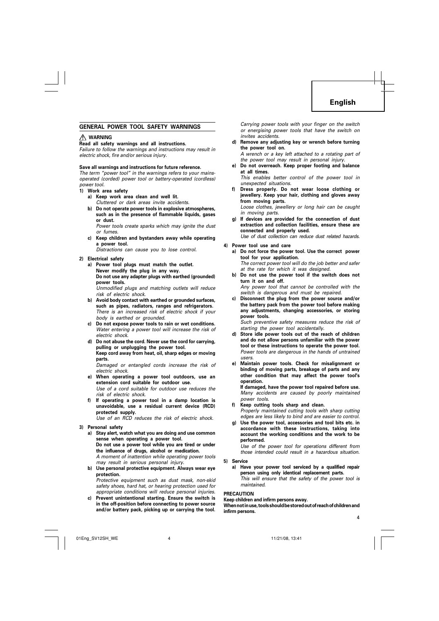### **GENERAL POWER TOOL SAFETY WARNINGS**

### **WARNING**

### **Read all safety warnings and all instructions.**

Failure to follow the warnings and instructions may result in electric shock, fire and/or serious injury.

### **Save all warnings and instructions for future reference.**

The term "power tool" in the warnings refers to your mainsoperated (corded) power tool or battery-operated (cordless) power tool.

- **1) Work area safety**
	- **a) Keep work area clean and well lit.** Cluttered or dark areas invite accidents.
	- **b) Do not operate power tools in explosive atmospheres, such as in the presence of flammable liquids, gases or dust.**

Power tools create sparks which may ignite the dust or fumes.

**c) Keep children and bystanders away while operating a power tool.**

Distractions can cause you to lose control.

### **2) Electrical safety**

a) Power tool plugs must match the outlet. **Never modify the plug in any way. Do not use any adapter plugs with earthed (grounded) power tools.**

Unmodified plugs and matching outlets will reduce risk of electric shock.

- **b) Avoid body contact with earthed or grounded surfaces, such as pipes, radiators, ranges and refrigerators.** There is an increased risk of electric shock if your body is earthed or grounded.
- **c) Do not expose power tools to rain or wet conditions.** Water entering a power tool will increase the risk of electric shock.
- **d) Do not abuse the cord. Never use the cord for carrying, pulling or unplugging the power tool. Keep cord away from heat, oil, sharp edges or moving parts.** Damaged or entangled cords increase the risk of

electric shock. **e) When operating a power tool outdoors, use an**

- **extension cord suitable for outdoor use.** Use of a cord suitable for outdoor use reduces the risk of electric shock.
- **f) If operating a power tool in a damp location is unavoidable, use a residual current device (RCD) protected supply.**

Use of an RCD reduces the risk of electric shock.

- **3) Personal safety**
	- **a) Stay alert, watch what you are doing and use common sense when operating a power tool. Do not use a power tool while you are tired or under the influence of drugs, alcohol or medication.** A moment of inattention while operating power tools may result in serious personal injury. **b) Use personal protective equipment. Always wear eye**

**protection.** Protective equipment such as dust mask, non-skid safety shoes, hard hat, or hearing protection used for

appropriate conditions will reduce personal injuries. **c) Prevent unintentional starting. Ensure the switch is in the off-position before connecting to power source and/or battery pack, picking up or carrying the tool.**

Carrying power tools with your finger on the switch or energising power tools that have the switch on invites accidents.

**d) Remove any adjusting key or wrench before turning the power tool on.**

A wrench or a key left attached to a rotating part of the power tool may result in personal injury.

**e) Do not overreach. Keep proper footing and balance at all times.**

This enables better control of the power tool in unexpected situations.

**f) Dress properly. Do not wear loose clothing or jewellery. Keep your hair, clothing and gloves away from moving parts.**

Loose clothes, jewellery or long hair can be caught in moving parts.

**g) If devices are provided for the connection of dust extraction and collection facilities, ensure these are connected and properly used.**

Use of dust collection can reduce dust related hazards.

- **4) Power tool use and care**
	- **a) Do not force the power tool. Use the correct power tool for your application.** The correct power tool will do the job better and safer at the rate for which it was designed.
	- **b) Do not use the power tool if the switch does not turn it on and off.** Any power tool that cannot be controlled with the switch is dangerous and must be repaired.
	- **c) Disconnect the plug from the power source and/or the battery pack from the power tool before making any adjustments, changing accessories, or storing power tools.**

Such preventive safety measures reduce the risk of starting the nower tool accidentally.

- **d) Store idle power tools out of the reach of children and do not allow persons unfamiliar with the power tool or these instructions to operate the power tool.** Power tools are dangerous in the hands of untrained users.
- **e) Maintain power tools. Check for misalignment or binding of moving parts, breakage of parts and any other condition that may affect the power tool's operation.**

**If damaged, have the power tool repaired before use.** Many accidents are caused by poorly maintained power tools.

**f) Keep cutting tools sharp and clean.**

Properly maintained cutting tools with sharp cutting edges are less likely to bind and are easier to control.

**g) Use the power tool, accessories and tool bits etc. in accordance with these instructions, taking into account the working conditions and the work to be performed.**

Use of the power tool for operations different from those intended could result in a hazardous situation.

- **5) Service**
	- **a) Have your power tool serviced by a qualified repair person using only identical replacement parts.** This will ensure that the safety of the power tool is maintained.

### **PRECAUTION**

**Keep children and infirm persons away.**

**When not in use, tools should be stored out of reach of children and infirm persons.**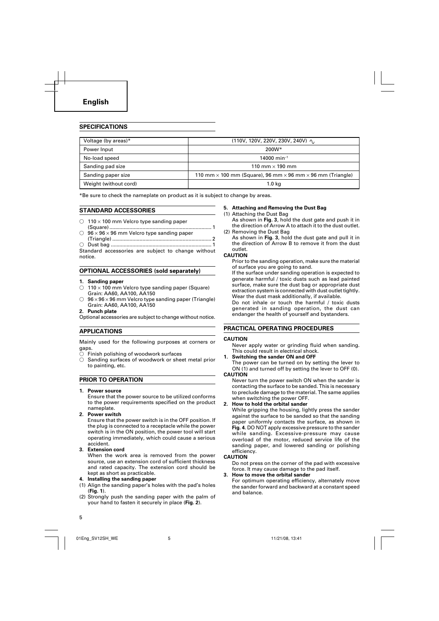### **SPECIFICATIONS**

| Voltage (by areas)*   | $(110V, 120V, 220V, 230V, 240V)$ n,                                             |
|-----------------------|---------------------------------------------------------------------------------|
| Power Input           | $200W*$                                                                         |
| No-load speed         | $14000$ min <sup>-1</sup>                                                       |
| Sanding pad size      | 110 mm $\times$ 190 mm                                                          |
| Sanding paper size    | 110 mm $\times$ 100 mm (Square), 96 mm $\times$ 96 mm $\times$ 96 mm (Triangle) |
| Weight (without cord) | 1.0 <sub>kg</sub>                                                               |

\*Be sure to check the nameplate on product as it is subject to change by areas.

### **STANDARD ACCESSORIES**

- $\circ$  110 × 100 mm Velcro type sanding paper
- (Square) ....................................................................... 1  $\degree$  96  $\times$  96  $\times$  96 mm Velcro type sanding paper
- (Triangle) ..................................................................... 2

 Dust bag ...................................................................... 1 Standard accessories are subject to change without notice.

### **OPTIONAL ACCESSORIES (sold separately)**

### **1. Sanding paper**

- $\bigcirc$  110 × 100 mm Velcro type sanding paper (Square) Grain: AA60, AA100, AA150
- $\bigcirc$  96 × 96 × 96 mm Velcro type sanding paper (Triangle) Grain: AA60, AA100, AA150

#### **2. Punch plate**

Optional accessories are subject to change without notice.

### **APPLICATIONS**

Mainly used for the following purposes at corners or gaps.

- $\circ$  Finish polishing of woodwork surfaces
- $\circ$  Sanding surfaces of woodwork or sheet metal prior to painting, etc.

### **PRIOR TO OPERATION**

**1. Power source**

Ensure that the power source to be utilized conforms to the power requirements specified on the product nameplate.

### **2. Power switch**

Ensure that the power switch is in the OFF position. If the plug is connected to a receptacle while the power switch is in the ON position, the power tool will start operating immediately, which could cause a serious accident.

#### **3. Extension cord**

When the work area is removed from the power source, use an extension cord of sufficient thickness and rated capacity. The extension cord should be kept as short as practicable.

#### **4. Installing the sanding paper**

- (1) Align the sanding paper's holes with the pad's holes (**Fig. 1**).
- (2) Strongly push the sanding paper with the palm of your hand to fasten it securely in place (**Fig. 2**).

### **5. Attaching and Removing the Dust Bag**

- (1) Attaching the Dust Bag As shown in **Fig. 3**, hold the dust gate and push it in the direction of Arrow A to attach it to the dust outlet. (2) Removing the Dust Bag
	- As shown in **Fig. 3**, hold the dust gate and pull it in the direction of Arrow B to remove it from the dust outlet.

### **CAUTION**

Prior to the sanding operation, make sure the material of surface you are going to sand.

If the surface under sanding operation is expected to generate harmful / toxic dusts such as lead painted surface, make sure the dust bag or appropriate dust extraction system is connected with dust outlet tightly. Wear the dust mask additionally, if available.

Do not inhale or touch the harmful / toxic dusts generated in sanding operation, the dust can endanger the health of yourself and bystanders.

### **PRACTICAL OPERATING PROCEDURES**

### **CAUTION**

Never apply water or grinding fluid when sanding. This could result in electrical shock.

**1. Switching the sander ON and OFF**

The power can be turned on by setting the lever to ON (1) and turned off by setting the lever to OFF (0).

### **CAUTION**

Never turn the power switch ON when the sander is contacting the surface to be sanded. This is necessary to preclude damage to the material. The same applies when switching the power OFF.

### **2. How to hold the orbital sander**

While gripping the housing, lightly press the sander against the surface to be sanded so that the sanding paper uniformly contacts the surface, as shown in **Fig. 4**. DO NOT apply excessive pressure to the sander while sanding. Excessive-pressure may cause overload of the motor, reduced service life of the sanding paper, and lowered sanding or polishing efficiency.

#### **CAUTION**

Do not press on the corner of the pad with excessive force. It may cause damage to the pad itself.

### **3. How to move the orbital sander**

For optimum operating efficiency, alternately move the sander forward and backward at a constant speed and balance.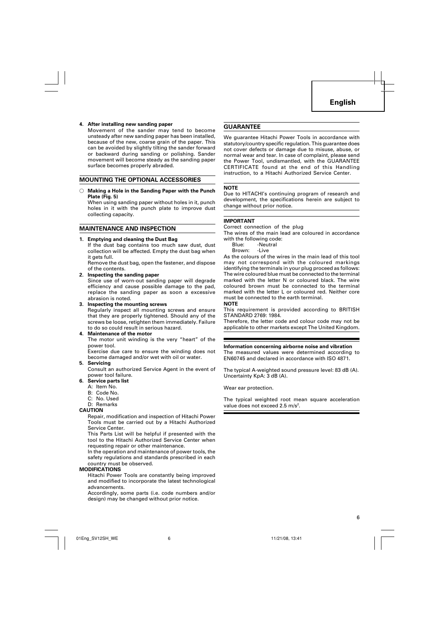### **4. After installing new sanding paper**

Movement of the sander may tend to become unsteady after new sanding paper has been installed, because of the new, coarse grain of the paper. This can be avoided by slightly tilting the sander forward or backward during sanding or polishing. Sander movement will become steady as the sanding paper surface becomes properly abraded.

### **MOUNTING THE OPTIONAL ACCESSORIES**

 **Making a Hole in the Sanding Paper with the Punch Plate (Fig. 5)**

When using sanding paper without holes in it, punch holes in it with the punch plate to improve dust collecting capacity.

### **MAINTENANCE AND INSPECTION**

### **1. Emptying and cleaning the Dust Bag**

If the dust bag contains too much saw dust, dust collection will be affected. Empty the dust bag when it gets full.

Remove the dust bag, open the fastener, and dispose of the contents.

### **2. Inspecting the sanding paper**

Since use of worn-out sanding paper will degrade efficiency and cause possible damage to the pad, replace the sanding paper as soon a excessive abrasion is noted.

### **3. Inspecting the mounting screws**

Regularly inspect all mounting screws and ensure that they are properly tightened. Should any of the screws be loose, retighten them immediately. Failure to do so could result in serious hazard.

#### **4. Maintenance of the motor**

The motor unit winding is the very "heart" of the power tool.

Exercise due care to ensure the winding does not become damaged and/or wet with oil or water.

### **5. Servicing**

Consult an authorized Service Agent in the event of power tool failure.

#### **6. Service parts list**

- A: Item No.
- B: Code No.
- C: No. Used
- D: Remarks

### **CAUTION**

Repair, modification and inspection of Hitachi Power Tools must be carried out by a Hitachi Authorized Service Center.

This Parts List will be helpful if presented with the tool to the Hitachi Authorized Service Center when requesting repair or other maintenance.

In the operation and maintenance of power tools, the safety regulations and standards prescribed in each country must be observed.

### **MODIFICATIONS**

Hitachi Power Tools are constantly being improved and modified to incorporate the latest technological advancements.

Accordingly, some parts (i.e. code numbers and/or design) may be changed without prior notice.

### **GUARANTEE**

We guarantee Hitachi Power Tools in accordance with statutory/country specific regulation. This guarantee does not cover defects or damage due to misuse, abuse, or normal wear and tear. In case of complaint, please send the Power Tool, undismantled, with the GUARANTEE CERTIFICATE found at the end of this Handling instruction, to a Hitachi Authorized Service Center.

#### **NOTE**

Due to HITACHI's continuing program of research and development, the specifications herein are subject to change without prior notice.

### **IMPORTANT**

Correct connection of the plug

The wires of the main lead are coloured in accordance with the following code:<br>Blue: -Neutral

-Neutral<br>-Live

Brown:

As the colours of the wires in the main lead of this tool may not correspond with the coloured markings identifying the terminals in your plug proceed as follows: The wire coloured blue must be connected to the terminal marked with the letter N or coloured black. The wire coloured brown must be connected to the terminal marked with the letter L or coloured red. Neither core must be connected to the earth terminal.

### **NOTE**

This requirement is provided according to BRITISH STANDARD 2769: 1984.

Therefore, the letter code and colour code may not be applicable to other markets except The United Kingdom.

### **Information concerning airborne noise and vibration**

The measured values were determined according to EN60745 and declared in accordance with ISO 4871.

The typical A-weighted sound pressure level: 83 dB (A). Uncertainty KpA: 3 dB (A).

Wear ear protection.

The typical weighted root mean square acceleration value does not exceed 2.5 m/s<sup>2</sup>.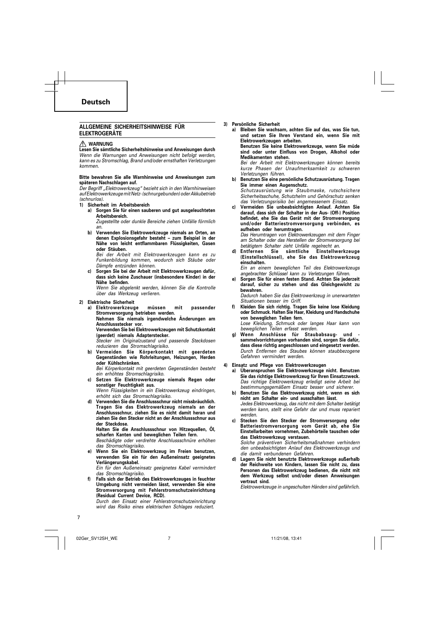### **ALLGEMEINE SICHERHEITSHINWEISE FÜR ELEKTROGERÄTE**

### **WARNUNG**

**Lesen Sie sämtliche Sicherheitshinweise und Anweisungen durch** Wenn die Warnungen und Anweisungen nicht befolgt werden, kann es zu Stromschlag, Brand und/oder ernsthaften Verletzungen kommen.

#### **Bitte bewahren Sie alle Warnhinweise und Anweisungen zum späteren Nachschlagen auf.**

Der Begriff "Elektrowerkzeug" bezieht sich in den Warnhinweisen auf Elektrowerkzeuge mit Netz- (schnurgebunden) oder Akkubetrieb (schnurlos).

- **1) Sicherheit im Arbeitsbereich**
	- **a) Sorgen Sie für einen sauberen und gut ausgeleuchteten Arbeitsbereich.**

Zugestellte oder dunkle Bereiche ziehen Unfälle förmlich an.

**b) Verwenden Sie Elektrowerkzeuge niemals an Orten, an denen Explosionsgefahr besteht – zum Beispiel in der Nähe von leicht entflammbaren Flüssigkeiten, Gasen oder Stäuben.**

Bei der Arbeit mit Elektrowerkzeugen kann es zu Funkenbildung kommen, wodurch sich Stäube oder Dämpfe entzünden können.

**c) Sorgen Sie bei der Arbeit mit Elektrowerkzeugen dafür, dass sich keine Zuschauer (insbesondere Kinder) in der Nähe befinden.**

Wenn Sie abgelenkt werden, können Sie die Kontrolle über das Werkzeug verlieren.

### **2) Elektrische Sicherheit**

**a) Elektrowerkzeuge müssen mit passender Stromversorgung betrieben werden.**

**Nehmen Sie niemals irgendwelche Änderungen am Anschlussstecker vor.**

**Verwenden Sie bei Elektrowerkzeugen mit Schutzkontakt (geerdet) niemals Adapterstecker.**

Stecker im Originalzustand und passende Steckdosen reduzieren das Stromschlagrisiko.

**b) Vermeiden Sie Körperkontakt mit geerdeten Gegenständen wie Rohrleitungen, Heizungen, Herden oder Kühlschränken.**

Bei Körperkontakt mit geerdeten Gegenständen besteht ein erhöhtes Stromschlagrisiko.

- **c) Setzen Sie Elektrowerkzeuge niemals Regen oder sonstiger Feuchtigkeit aus.** Wenn Flüssigkeiten in ein Elektrowerkzeug eindringen, erhöht sich das Stromschlagrisiko.
- **d) Verwenden Sie die Anschlussschnur nicht missbräuchlich. Tragen Sie das Elektrowerkzeug niemals an der Anschlussschnur, ziehen Sie es nicht damit heran und ziehen Sie den Stecker nicht an der Anschlussschnur aus der Steckdose.**

**Halten Sie die Anschlussschnur von Hitzequellen, Öl, scharfen Kanten und beweglichen Teilen fern.**

Beschädigte oder verdrehte Anschlussschnüre erhöhen das Stromschlagrisiko.

**e) Wenn Sie ein Elektrowerkzeug im Freien benutzen, verwenden Sie ein für den Außeneinsatz geeignetes Verlängerungskabel.**

Ein für den Außeneinsatz geeignetes Kabel vermindert das Stromschlagrisiko.

**f) Falls sich der Betrieb des Elektrowerkzeuges in feuchter Umgebung nicht vermeiden lässt, verwenden Sie eine Stromversorgung mit Fehlerstromschutzeinrichtung (Residual Current Device, RCD).**

Durch den Einsatz einer Fehlerstromschutzeinrichtung wird das Risiko eines elektrischen Schlages reduziert.

- **3) Persönliche Sicherheit**
	- **a) Bleiben Sie wachsam, achten Sie auf das, was Sie tun, und setzen Sie Ihren Verstand ein, wenn Sie mit Elektrowerkzeugen arbeiten.**

**Benutzen Sie keine Elektrowerkzeuge, wenn Sie müde sind oder unter Einfluss von Drogen, Alkohol oder Medikamenten stehen.**

Bei der Arbeit mit Elektrowerkzeugen können bereits kurze Phasen der Unaufmerksamkeit zu schweren Verletzungen führen.

- **b) Benutzen Sie eine persönliche Schutzausrüstung. Tragen Sie immer einen Augenschutz.** Schutzausrüstung wie Staubmaske, rutschsichere Sicherheitsschuhe, Schutzhelm und Gehörschutz senken das Verletzungsrisiko bei angemessenem Einsatz.
- **c) Vermeiden Sie unbeabsichtigten Anlauf. Achten Sie darauf, dass sich der Schalter in der Aus- (Off-) Position befindet, ehe Sie das Gerät mit der Stromversorgung und/oder Batteriestromversorgung verbinden, es aufheben oder herumtragen.**

Das Herumtragen von Elektrowerkzeugen mit dem Finger am Schalter oder das Herstellen der Stromversorgung bei betätigtem Schalter zieht Unfälle regelrecht an.

**d) Entfernen Sie sämtliche Einstellwerkzeuge (Einstellschlüssel), ehe Sie das Elektrowerkzeug einschalten.**

Ein an einem beweglichen Teil des Elektrowerkzeugs angebrachter Schlüssel kann zu Verletzungen führen.

**e) Sorgen Sie für einen festen Stand. Achten Sie jederzeit darauf, sicher zu stehen und das Gleichgewicht zu bewahren.**

Dadurch haben Sie das Elektrowerkzeug in unerwarteten Situationen besser im Griff.

- **f) Kleiden Sie sich richtig. Tragen Sie keine lose Kleidung oder Schmuck. Halten Sie Haar, Kleidung und Handschuhe von beweglichen Teilen fern.** Lose Kleidung, Schmuck oder langes Haar kann von beweglichen Teilen erfasst werden.
- **g) Wenn Anschlüsse für Staubabsaug- und sammelvorrichtungen vorhanden sind, sorgen Sie dafür, dass diese richtig angeschlossen und eingesetzt werden.** Durch Entfernen des Staubes können staubbezogene Gefahren vermindert werden.

### **4) Einsatz und Pflege von Elektrowerkzeugen**

**a) Überanspruchen Sie Elektrowerkzeuge nicht. Benutzen Sie das richtige Elektrowerkzeug für Ihren Einsatzzweck.** Das richtige Elektrowerkzeug erledigt seine Arbeit bei bestimmungsgemäßem Einsatz besser und sicherer.

- **b) Benutzen Sie das Elektrowerkzeug nicht, wenn es sich nicht am Schalter ein- und ausschalten lässt.** Jedes Elektrowerkzeug, das nicht mit dem Schalter betätigt werden kann, stellt eine Gefahr dar und muss repariert werden.
- **c) Stecken Sie den Stecker der Stromversorgung oder Batteriestromversorgung vom Gerät ab, ehe Sie Einstellarbeiten vornehmen, Zubehörteile tauschen oder das Elektrowerkzeug verstauen.**

Solche präventiven Sicherheitsmaßnahmen verhindern den unbeabsichtigten Anlauf des Elektrowerkzeugs und die damit verbundenen Gefahren.

**d) Lagern Sie nicht benutzte Elektrowerkzeuge außerhalb der Reichweite von Kindern, lassen Sie nicht zu, dass Personen das Elektrowerkzeug bedienen, die nicht mit dem Werkzeug selbst und/oder diesen Anweisungen vertraut sind.**

Elektrowerkzeuge in ungeschulten Händen sind gefährlich.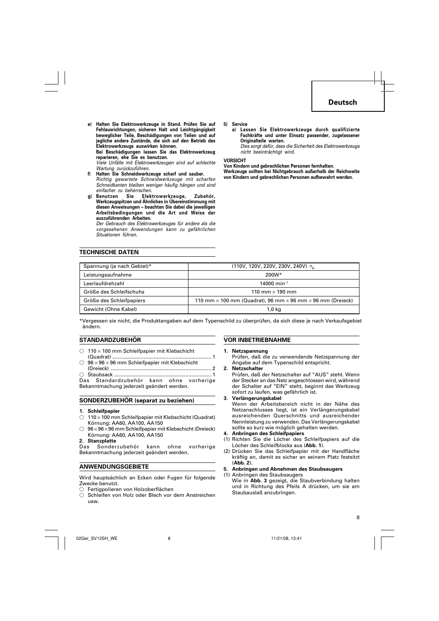**e) Halten Sie Elektrowerkzeuge in Stand. Prüfen Sie auf Fehlausrichtungen, sicheren Halt und Leichtgängigkeit beweglicher Teile, Beschädigungen von Teilen und auf jegliche andere Zustände, die sich auf den Betrieb des Elektrowerkzeugs auswirken können. Bei Beschädigungen lassen Sie das Elektrowerkzeug**

**reparieren, ehe Sie es benutzen.**

Viele Unfälle mit Elektrowerkzeugen sind auf schlechte Wartung zurückzuführen.

- **f) Halten Sie Schneidwerkzeuge scharf und sauber.** Richtig gewartete Schneidwerkzeuge mit scharfen Schneidkanten bleiben weniger häufig hängen und sind einfacher zu beherrschen.
- **g) Benutzen Sie Elektrowerkzeuge, Zubehör, Werkzeugspitzen und Ähnliches in Übereinstimmung mit diesen Anweisungen – beachten Sie dabei die jeweiligen Arbeitsbedingungen und die Art und Weise der auszuführenden Arbeiten.**

Der Gebrauch des Elektrowerkzeuges für andere als die vorgesehenen Anwendungen kann zu gefährlichen Situationen führen.

**TECHNISCHE DATEN**

**5) Service**

**a) Lassen Sie Elektrowerkzeuge durch qualifizierte Fachkräfte und unter Einsatz passender, zugelassener Originalteile warten.**

Dies sorgt dafür, dass die Sicherheit des Elektrowerkzeugs nicht beeinträchtigt wird.

#### **VORSICHT**

**Von Kindern und gebrechlichen Personen fernhalten. Werkzeuge sollten bei Nichtgebrauch außerhalb der Reichweite von Kindern und gebrechlichen Personen aufbewahrt werden.**

| Spannung (je nach Gebiet)* | $(110V, 120V, 220V, 230V, 240V)$ 1,                                             |
|----------------------------|---------------------------------------------------------------------------------|
| Leistungsaufnahme          | $200W*$                                                                         |
| Leerlaufdrehzahl           | $14000$ min <sup>-1</sup>                                                       |
| Größe des Schleifschuhs    | 110 mm $\times$ 190 mm                                                          |
| Größe des Schleifpapiers   | 110 mm $\times$ 100 mm (Quadrat), 96 mm $\times$ 96 mm $\times$ 96 mm (Dreieck) |
| Gewicht (Ohne Kabel)       | 1,0 kg                                                                          |

\*Vergessen sie nicht, die Produktangaben auf dem Typenschild zu überprüfen, da sich diese je nach Verkaufsgebiet ändern.

### **STANDARDZUBEHÖR**

 $\bigcirc$  110 × 100 mm Schleifpapier mit Klebschicht

(Quadrat) ..................................................................... 1  $\bigcirc$  96 × 96 × 96 mm Schleifpapier mit Klebschicht

(Dreieck) ...................................................................... 2 Staubsack .................................................................... 1 Das Standardzubehör kann ohne vorherige

Bekanntmachung jederzeit geändert werden.

### **SONDERZUBEHÖR (separat zu beziehen)**

### **1. Schleifpapier**

- $\bigcirc$  110 × 100 mm Schleifpapier mit Klebschicht (Quadrat) Körnung: AA60, AA100, AA150
- $\bigcirc$  96 × 96 × 96 mm Schleifpapier mit Klebschicht (Dreieck) Körnung: AA60, AA100, AA150

**2. Stanzplatte** kann ohne vorherige Bekanntmachung jederzeit geändert werden.

### **ANWENDUNGSGEBIETE**

Wird hauptsächlich an Ecken oder Fugen für folgende Zwecke benutzt.

- Fertigpolieren von Holzoberflächen
- Schleifen von Holz oder Blech vor dem Anstreichen usw.

### **VOR INBETRIEBNAHME**

#### **1. Netzspannung**

Prüfen, daß die zu verwendende Netzspannung der Angabe auf dem Typenschild entspricht.

### **2. Netzschalter**

Prüfen, daß der Netzschalter auf "AUS" steht. Wenn der Stecker an das Netz angeschlossen wird, während der Schalter auf "EIN" steht, beginnt das Werkzeug sofort zu laufen, was gefährlich ist.

#### **3. Verlängerungskabel**

Wenn der Arbeitsbereich nicht in der Nähe des Netzanschlusses liegt, ist ein Verlängerungskabel ausreichenden Querschnitts und ausreichender Nennleistung zu verwenden. Das Verlängerungskabel sollte so kurz wie möglich gehalten werden.

### **4. Anbringen des Schleifpapiers**

- (1) Richten Sie die Löcher des Schleifpapiers auf die Löcher des Schleifblocks aus (**Abb. 1**).
- (2) Drücken Sie das Schleifpapier mit der Handfläche kräftig an, damit es sicher an seinem Platz festsitzt (**Abb. 2**).

### **5. Anbringen und Abnehmen des Staubsaugers**

(1) Anbringen des Staubsaugers

Wie in **Abb. 3** gezeigt, die Staubverbindung halten und in Richtung des Pfeils A drücken, um sie am Staubauslaß anzubringen.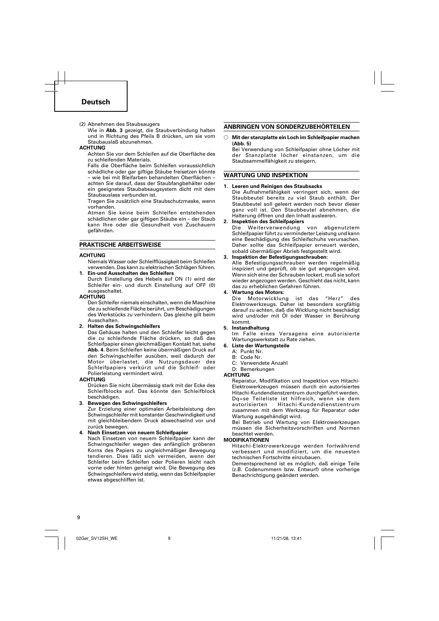(2) Abnehmen des Staubsaugers

Wie in **Abb. 3** gezeigt, die Staubverbindung halten und in Richtung des Pfeils B drücken, um sie vom Staubauslaß abzunehmen.

### **ACHTUNG**

Achten Sie vor dem Schleifen auf die Oberfläche des zu schleifenden Materials.

Falls die Oberfläche beim Schleifen voraussichtlich schädliche oder gar giftige Stäube freisetzen könnte – wie bei mit Bleifarben behandelten Oberflächen – achten Sie darauf, dass der Staubfangbehälter oder ein geeignetes Staubabsaugsystem dicht mit dem Staubauslass verbunden ist.

Tragen Sie zusätzlich eine Staubschutzmaske, wenn vorhanden.

Atmen Sie keine beim Schleifen entstehenden schädlichen oder gar giftigen Stäube ein – der Staub kann Ihre oder die Gesundheit von Zuschauern gefährden.

### **PRAKTISCHE ARBEITSWEISE**

### **ACHTUNG**

Niemals Wasser oder Schleifflüssigkeit beim Schleifen verwenden. Das kann zu elektrischen Schlägen führen.

**1. Ein-und Ausschalten des Schleifers**

Durch Einstellung des Hebels auf ON (1) wird der Schleifer ein- und durch Einstellung auf OFF (0) ausgeschaltet.

### **ACHTUNG**

Den Schleifer niemals einschalten, wenn die Maschine die zu schleifende Fläche berührt, um Beschädigungen des Werkstücks zu verhindern. Das gleiche gilt beim Ausschalten.

### **2. Halten des Schwingschleifers**

Das Gehäuse halten und den Schleifer leicht gegen die zu schleifende Fläche drücken, so daß das Schleifpapier einen gleichmäßigen Kontakt hat, siehe **Abb. 4**. Beim Schleifen keine übermäßigen Druck auf den Schwingschleifer ausüben, weil dadurch der Motor überlastet, die Nutzungsdauer des Schleifpapiers verkürzt und die Schleif- oder Polierleistung vermindert wird.

### **ACHTUNG**

Drücken Sie nicht übermässig stark mit der Ecke des Schleifblocks auf. Das könnte den Schleifblock beschädigen.

### **3. Bewegen des Schwingschleifers**

Zur Erzielung einer optimalen Arbeitsleistung den Schwingschleifer mit konstanter Geschwindigkeit und mit gleichbleibendem Druck abwechselnd vor und zurück bewegen.

### **4. Nach Einsetzen von neuem Schleifpapier**

Nach Einsetzen von neuem Schleifpapier kann der Schwingschleifer wegen des anfänglich gröberen Korns des Papiers zu ungleichmäßiger Bewegung tendieren. Dies läßt sich vermeiden, wenn der Schleifer beim Schleifen oder Polieren leicht nach vorne oder hinten geneigt wird. Die Bewegung des Schwingschleifers wird stetig, wenn das Schleifpapier etwas abgeschliffen ist.

### **ANBRINGEN VON SONDERZUBEHÖRTEILEN**

### **Mit der stanzplatte ein Loch im Schleifpapier machen (Abb. 5)**

Bei Verwendung von Schleifpapier ohne Löcher mit der Stanzplatte löcher einstanzen, um die Staubsammelfähigkeit zu steigern.

### **WARTUNG UND INSPEKTION**

### **1. Leeren und Reinigen des Staubsacks**

Die Aufnahmefähigkeit verringert sich, wenn der Staubbeutel bereits zu viel Staub enthält. Der Staubbeutel soll geleert werden noch bevor dieser ganz voll ist. Den Staubbeutel abnehmen, die Halterung öffnen und den lnhalt ausleeren.

### **2. Inspektion des Schleifpapiers**

Weiterverwendung von abgenutztem Schleifpapier führt zu verminderter Leistung und kann eine Beschädigung des Schleifschuhs verursachen. Daher sollte das Schleifpapier erneuert werden, sobald übermäßiger Abrieb festgestellt wird.

### **3. Inspektion der Befestigungsschrauben:**

Alle Befestigungsschrauben werden regelmäßig inspiziert und geprüft, ob sie gut angezogen sind. Wenn sich eine der Schrauben lockert, muß sie sofort wieder angezogen werden. Geschieht das nicht, kann das zu erheblichen Gefahren führen.

### **4. Wartung des Motors:**

Motorwicklung ist das "Herz" des Elektrowerkzeugs. Daher ist besonders sorgfältig darauf zu achten, daß die Wicklung nicht beschädigt wird und/oder mit Öl oder Wasser in Berührung kommt.

### **5. Instandhaltung**

Im Falle eines Versagens eine autorisierte Wartungswerkstatt zu Rate ziehen.

### **6. Liste der Wartungsteile**

- A: Punkt Nr.
- B: Code Nr.
- C: Verwendete Anzahl
- D: Bemerkungen

### **ACHTUNG**

Reparatur, Modifikation und Inspektion von Hitachi-Elektrowerkzeugen müssen durch ein autorisiertes Hitachi-Kundendienstzentrum durchgeführt werden. Dq=se Teileliste ist hilfreich, wenn sie dem<br>autorisierten Hitachi-Kundendienstzentrum Hitachi-Kundendienstzentrum zusammen mit dem Werkzeug für Reparatur oder Wartung ausgehändigt wird.

Bei Betrieb und Wartung von Elektrowerkzeugen müssen die Sicherheitsvorschriften und Normen beachtet werden.

### **MODIFIKATIONEN**

Hitachi-Elektrowerkzeuge werden fortwährend verbessert und modifiziert, um die neuesten technischen Fortschritte einzubauen.

Dementsprechend ist es möglich, daß einige Teile (z.B. Codenummern bzw. Entwurf) ohne vorherige Benachrichtigung geändert werden.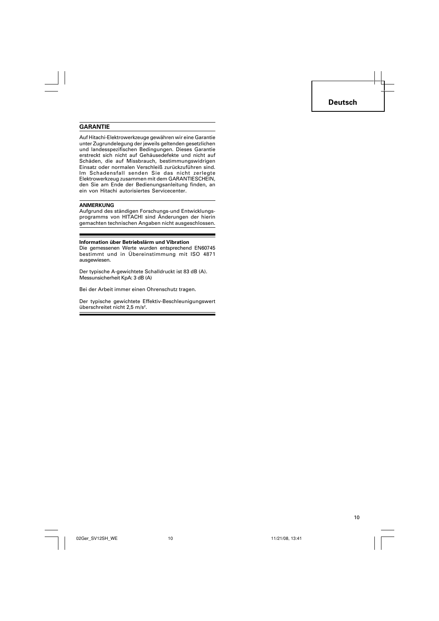### **GARANTIE**

Auf Hitachi-Elektrowerkzeuge gewähren wir eine Garantie unter Zugrundelegung der jeweils geltenden gesetzlichen und landesspezifischen Bedingungen. Dieses Garantie erstreckt sich nicht auf Gehäusedefekte und nicht auf Schäden, die auf Missbrauch, bestimmungswidrigen Einsatz oder normalen Verschleiß zurückzuführen sind. Im Schadensfall senden Sie das nicht zerlegte Elektrowerkzeug zusammen mit dem GARANTIESCHEIN, den Sie am Ende der Bedienungsanleitung finden, an ein von Hitachi autorisiertes Servicecenter.

### **ANMERKUNG**

Aufgrund des ständigen Forschungs-und Entwicklungsprogramms von HITACHI sind Änderungen der hierin gemachten technischen Angaben nicht ausgeschlossen.

#### **Information über Betriebslärm und Vibration**

Die gemessenen Werte wurden entsprechend EN60745 bestimmt und in Übereinstimmung mit ISO 4871 ausgewiesen.

Der typische A-gewichtete Schalldruckt ist 83 dB (A). Messunsicherheit KpA: 3 dB (A)

Bei der Arbeit immer einen Ohrenschutz tragen.

Der typische gewichtete Effektiv-Beschleunigungswert überschreitet nicht 2,5 m/s $^2$ .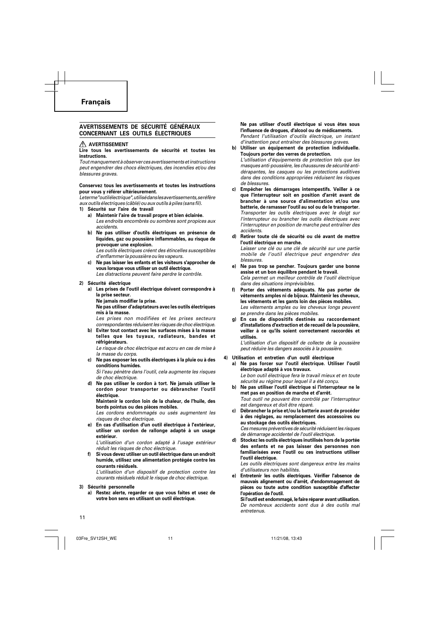### **AVERTISSEMENTS DE SÉCURITÉ GÉNÉRAUX CONCERNANT LES OUTILS ÉLECTRIQUES**

### **AVERTISSEMENT**

#### **Lire tous les avertissements de sécurité et toutes les instructions.**

Tout manquement à observer ces avertissements et instructions peut engendrer des chocs électriques, des incendies et/ou des blessures graves.

#### **Conservez tous les avertissements et toutes les instructions pour vous y référer ultérieurement.**

Le terme "outil électrique", utilisé dans les avertissements, se réfère aux outils électriques (câblé) ou aux outils à piles (sans fil).

- **1) Sécurité sur l'aire de travail**
	- **a) Maintenir l'aire de travail propre et bien éclairée.** Les endroits encombrés ou sombres sont propices aux accidents.
	- **b) Ne pas utiliser d'outils électriques en présence de liquides, gaz ou poussière inflammables, au risque de provoquer une explosion.**

Les outils électriques créent des étincelles susceptibles d'enflammer la poussière ou les vapeurs.

**c) Ne pas laisser les enfants et les visiteurs s'approcher de vous lorsque vous utiliser un outil électrique.** Les distractions peuvent faire perdre le contrôle.

#### **2) Sécurité électrique**

**a) Les prises de l'outil électrique doivent correspondre à la prise secteur.**

**Ne jamais modifier la prise.**

**Ne pas utiliser d'adaptateurs avec les outils électriques mis à la masse.**

Les prises non modifiées et les prises secteurs correspondantes réduisent les risques de choc électrique.

**b) Eviter tout contact avec les surfaces mises à la masse telles que les tuyaux, radiateurs, bandes et réfrigérateurs.**

Le risque de choc électrique est accru en cas de mise à la masse du corps.

**c) Ne pas exposer les outils électriques à la pluie ou à des conditions humides.**

Si l'eau pénètre dans l'outil, cela augmente les risques de choc électrique.

**d) Ne pas utiliser le cordon à tort. Ne jamais utiliser le cordon pour transporter ou débrancher l'outil électrique.**

**Maintenir le cordon loin de la chaleur, de l'huile, des bords pointus ou des pièces mobiles.**

Les cordons endommagés ou usés augmentent les risques de choc électrique.

**e) En cas d'utilisation d'un outil électrique à l'extérieur, utiliser un cordon de rallonge adapté à un usage extérieur.**

L'utilisation d'un cordon adapté à l'usage extérieur réduit les risques de choc électrique.

**f) Si vous devez utiliser un outil électrique dans un endroit humide, utilisez une alimentation protégée contre les courants résiduels.**

L'utilisation d'un dispositif de protection contre les courants résiduels réduit le risque de choc électrique.

### **3) Sécurité personnelle**

**a) Restez alerte, regarder ce que vous faites et usez de votre bon sens en utilisant un outil électrique.**

### **Ne pas utiliser d'outil électrique si vous êtes sous l'influence de drogues, d'alcool ou de médicaments.**

Pendant l'utilisation d'outils électrique, un instant d'inattention peut entraîner des blessures graves.

- **b) Utiliser un équipement de protection individuelle. Toujours porter des verres de protection.** L'utilisation d'équipements de protection tels que les masques anti-poussière, les chaussures de sécurité antidérapantes, les casques ou les protections auditives dans des conditions appropriées réduisent les risques de blessures.
- **c) Empêcher les démarrages intempestifs. Veiller à ce que l'interrupteur soit en position d'arrêt avant de brancher à une source d'alimentation et/ou une batterie, de ramasser l'outil au sol ou de le transporter.** Transporter les outils électriques avec le doigt sur l'interrupteur ou brancher les outils électriques avec l'interrupteur en position de marche peut entraîner des accidents.
- **d) Retirer toute clé de sécurité ou clé avant de mettre l'outil électrique en marche.** Laisser une clé ou une clé de sécurité sur une partie

mobile de l'outil électrique peut engendrer des blessures.

- **e) Ne pas trop se pencher. Toujours garder une bonne assise et un bon équilibre pendant le travail.** Cela permet un meilleur contrôle de l'outil électrique dans des situations imprévisibles.
- **f) Porter des vêtements adéquats. Ne pas porter de vêtements amples ni de bijoux. Maintenir les cheveux, les vêtements et les gants loin des pièces mobiles.** Les vêtements amples ou les cheveux longs peuvent se prendre dans les pièces mobiles.
- **g) En cas de dispositifs destinés au raccordement d'installations d'extraction et de recueil de la poussière, veiller à ce qu'ils soient correctement raccordés et utilisés.**

L'utilisation d'un dispositif de collecte de la poussière peut réduire les dangers associés à la poussière.

### **4) Utilisation et entretien d'un outil électrique**

- **a) Ne pas forcer sur l'outil électrique. Utiliser l'outil électrique adapté à vos travaux.** Le bon outil électrique fera le travail mieux et en toute sécurité au régime pour lequel il a été conçu.
- **b) Ne pas utiliser l'outil électrique si l'interrupteur ne le met pas en position de marche et d'arrêt.** Tout outil ne pouvant être contrôlé par l'interrupteur est dangereux et doit être réparé.
- **c) Débrancher la prise et/ou la batterie avant de procéder à des réglages, au remplacement des accessoires ou au stockage des outils électriques.** Ces mesures préventives de sécurité réduisent les risques de démarrage accidentel de l'outil électrique.
- **d) Stockez les outils électriques inutilisés hors de la portée des enfants et ne pas laisser des personnes non familiarisées avec l'outil ou ces instructions utiliser l'outil électrique.**

Les outils électriques sont dangereux entre les mains d'utilisateurs non habilités.

**e) Entretenir les outils électriques. Vérifier l'absence de mauvais alignement ou d'arrêt, d'endommagement de pièces ou toute autre condition susceptible d'affecter l'opération de l'outil.**

**Si l'outil est endommagé, le faire réparer avant utilisation.** De nombreux accidents sont dus à des outils mal entretenus.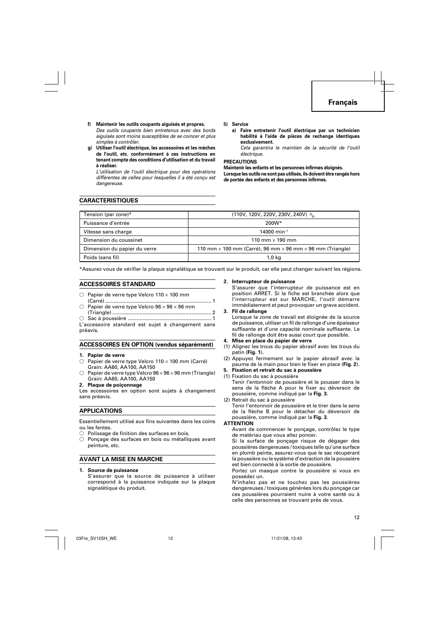- **f) Maintenir les outils coupants aiguisés et propres.** Des outils coupants bien entretenus avec des bords aiguisés sont moins susceptibles de se coincer et plus simples à contrôler.
- **g) Utiliser l'outil électrique, les accessoires et les mèches de l'outil, etc. conformément à ces instructions en tenant compte des conditions d'utilisation et du travail à réaliser.**

L'utilisation de l'outil électrique pour des opérations différentes de celles pour lesquelles il a été concu est dangereuse.

### **CARACTERISTIQUES**

| Tension (par zone)*          | $(110V, 120V, 220V, 230V, 240V)$ $\Lambda$ ,                                   |
|------------------------------|--------------------------------------------------------------------------------|
| Puissance d'entrée           | $200W*$                                                                        |
| Vitesse sans charge          | $14000$ min <sup>-1</sup>                                                      |
| Dimension du coussinet       | 110 mm $\times$ 190 mm                                                         |
| Dimension du papier du verre | 110 mm $\times$ 100 mm (Carré), 96 mm $\times$ 96 mm $\times$ 96 mm (Triangle) |
| Poids (sans fil)             | 1,0 kg                                                                         |

**5) Service**

**exclusivement.**

électrique. **PRECAUTIONS**

\*Assurez-vous de vérifier la plaque signalétique se trouvant sur le produit, car elle peut changer suivant les régions.

### **ACCESSOIRES STANDARD**

- $\circ$  Papier de verre type Velcro 110  $\times$  100 mm (Carré) .......................................................................... 1
- $\circ$  Papier de verre type Velcro 96  $\times$  96  $\times$  96 mm (Triangle) ..................................................................... 2
- Sac à poussière .......................................................... 1 L'accessoire standard est sujet à changement sans préavis.

### **ACCESSOIRES EN OPTION (vendus séparément)**

- **1. Papier de verre**
- $\bigcirc$  Papier de verre type Velcro 110  $\times$  100 mm (Carré) Grain: AA60, AA100, AA150
- $\bigcirc$  Papier de verre type Velcro 96 × 96 × 96 mm (Triangle) Grain: AA60, AA100, AA150

#### **2. Plaque de poiçonnage**

Les accessoires en option sont sujets à changement sans préavis.

### **APPLICATIONS**

Essentiellement utilisé aux fins suivantes dans les coins ou les fentes.

- O Polissage de finition des surfaces en bois.
- Ponçage des surfaces en bois ou métalliques avant peinture, etc.

### **AVANT LA MISE EN MARCHE**

### **1. Source de puissance**

S'assurer que la source de puissance à utiliser correspond à la puissance indiquée sur la plaque signalétique du produit.

#### **2. Interrupteur de puissance**

S'assurer que l'interrupteur de puissance est en position ARRET. Si la fiche est branchée alors que l'interrupteur est sur MARCHE, l'outil démarre immédiatement et peut provoquer un grave accident.

**a) Faire entretenir l'outil électrique par un technicien habilité à l'aide de pièces de rechange identiques**

**Maintenir les enfants et les personnes infirmes éloignés. Lorsque les outils ne sont pas utilisés, ils doivent être rangés hors**

**de portée des enfants et des personnes infirmes.**

Cela garantira le maintien de la sécurité de l'outil

#### **3. Fil de rallonge**

Lorsque la zone de travail est éloignée de la source de puissance, utiliser un fil de rallonge d'une épaisseur suffisante et d'une capacité nominale suffisante. Le fil de rallonge doit être aussi court que possible.

### **4. Mise en place du papier de verre**

- (1) Alignez les trous du papier abrasif avec les trous du patin (**Fig. 1**).
- (2) Appuyez fermement sur le papier abrasif avec la paume de la main pour bien le fixer en place (**Fig. 2**).
- **5. Fixation et retrait du sac à poussière**

(1) Fixation du sac à poussière Tenir l'entonnoir de poussière et le pousser dans le sens de la flèche A pour le fixer au déversoir de poussière, comme indiqué par la **Fig. 3**.

(2) Retrait du sac à poussière

Tenir l'entonnoir de poussière et le tirer dans le sens de la flèche B pour le détacher du déversoir de poussière, comme indiqué par la **Fig. 3**.

### **ATTENTION**

Avant de commencer le ponçage, contrôlez le type de matériau que vous allez poncer.

Si la surface de poncage risque de dégager des poussières dangereuses / toxiques telle qu'une surface en plomb peinte, assurez-vous que le sac récupérant la poussière ou le système d'extraction de la poussière est bien connecté à la sortie de poussière.

Portez un masque contre la poussière si vous en possédez un.

N'inhalez pas et ne touchez pas les poussières dangereuses / toxiques générées lors du ponçage car ces poussières pourraient nuire à votre santé ou à celle des personnes se trouvant près de vous.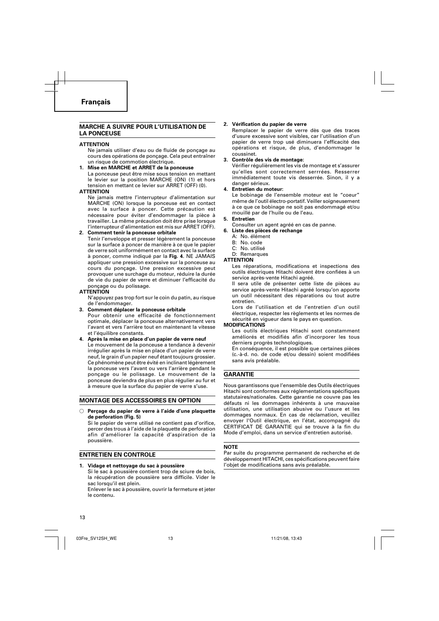### **MARCHE A SUIVRE POUR L'UTILISATION DE LA PONCEUSE**

### **ATTENTION**

Ne jamais utiliser d'eau ou de fluide de ponçage au cours des opérations de ponçage. Cela peut entraîner un risque de commotion électrique.

**1. Mise en MARCHE et ARRET de la ponceuse** La ponceuse peut être mise sous tension en mettant le levier sur la position MARCHE (ON) (1) et hors tension en mettant ce levier sur ARRET (OFF) (0).

### **ATTENTION**

Ne jamais mettre l'interrupteur d'alimentation sur MARCHE (ON) lorsque la ponceuse est en contact avec la surface à poncer. Cette précaution est nécessaire pour éviter d'endommager la pièce à travailler. La même précaution doit être prise lorsque l'interrupteur d'alimentation est mis sur ARRET (OFF).

### **2. Comment tenir la ponceuse orbitale**

Tenir l'enveloppe et presser légèrement la ponceuse sur la surface à poncer de manière à ce que le papier de verre soit uniformément en contact avec la surface à poncer, comme indiqué par la **Fig. 4**. NE JAMAIS appliquer une pression excessive sur la ponceuse au cours du ponçage. Une pression excessive peut provoquer une surchage du moteur, réduire la durée de vie du papier de verre et diminuer l'efficacité du ponçage ou du polissage.

### **ATTENTION**

N'appuyez pas trop fort sur le coin du patin, au risque de l'endommager.

- **3. Comment déplacer la ponceuse orbitale** Pour obtenir une efficacité de fonctionnement optimale, déplacer la ponceuse alternativement vers l'avant et vers l'arrière tout en maintenant la vitesse et l'équilibre constants.
- **4. Après la mise en place d'un papier de verre neuf** Le mouvement de la ponceuse a tendance à devenir irrégulier après la mise en place d'un papier de verre neuf, le grain d'un papier neuf étant toujours grossier. Ce phénomène peut être évité en inclinant légèrement la ponceuse vers l'avant ou vers l'arrière pendant le ponçage ou le polissage. Le mouvement de la ponceuse deviendra de plus en plus régulier au fur et à mesure que la surface du papier de verre s'use.

### **MONTAGE DES ACCESSOIRES EN OPTION**

 **Perçage du papier de verre à l'aide d'une plaquette de perforation (Fig. 5)**

Si le papier de verre utilisé ne contient pas d'orifice, percer des trous à l'aide de la plaquette de perforation afin d'améliorer la capacité d'aspiration de la poussière.

### **ENTRETIEN EN CONTROLE**

### **1. Vidage et nettoyage du sac à poussière**

Si le sac à poussière contient trop de sciure de bois, la récupération de poussière sera difficile. Vider le sac lorsqu'il est plein.

Enlever le sac à poussière, ouvrir la fermeture et jeter le contenu.

### **2. Vérification du papier de verre**

Remplacer le papier de verre dès que des traces d'usure excessive sont visibles, car l'utilisation d'un papier de verre trop usé diminuera l'efficacité des opérations et risque, de plus, d'endommager le coussinet.

### **3. Contrôle des vis de montage:**

Vérifier régulièrement les vis de montage et s'assurer qu'elles sont correctement serrrées. Resserrer immédiatement toute vis desserrée. Sinon, il y a danger sérieux.

### **4. Entretien du moteur:**

Le bobinage de l'ensemble moteur est le "coeur" même de l'outil électro-portatif. Veiller soigneusement à ce que ce bobinage ne soit pas endommagé et/ou mouillé par de l'huile ou de l'eau.

### **5. Entretien**

Consulter un agent agréé en cas de panne.

### **6. Liste des pièces de rechange**

- A: No. élément
- B: No. code
- C: No. utilisé
- D: Remarques

### **ATTENTION**

Les réparations, modifications et inspections des outils électriques Hitachi doivent être confiées à un service après-vente Hitachi agréé.

Il sera utile de présenter cette liste de pièces au service après-vente Hitachi agréé lorsqu'on apporte un outil nécessitant des réparations ou tout autre entretien.

Lors de l'utilisation et de l'entretien d'un outil électrique, respecter les règlements et les normes de sécurité en vigueur dans le pays en question.

#### **MODIFICATIONS**

Les outils électriques Hitachi sont constamment améliorés et modifiés afin d'incorporer les tous derniers progrès technologiques.

En conséquence, il est possible que certaines pièces (c.-à-d. no. de code et/ou dessin) soient modifiées sans avis préalable.

### **GARANTIE**

Nous garantissons que l'ensemble des Outils électriques Hitachi sont conformes aux réglementations spécifiques statutaires/nationales. Cette garantie ne couvre pas les défauts ni les dommages inhérents à une mauvaise utilisation, une utilisation abusive ou l'usure et les dommages normaux. En cas de réclamation, veuillez envoyer l'Outil électrique, en l'état, accompagné du CERTIFICAT DE GARANTIE qui se trouve à la fin du Mode d'emploi, dans un service d'entretien autorisé.

### **NOTE**

Par suite du programme permanent de recherche et de développement HITACHI, ces spécifications peuvent faire l'objet de modifications sans avis préalable.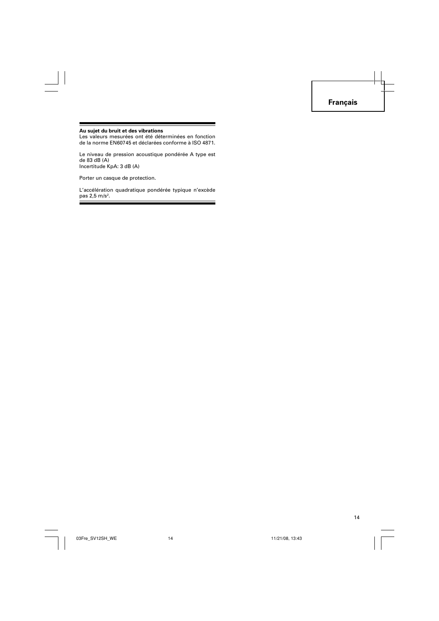### **Français**

### **Au sujet du bruit et des vibrations**

Les valeurs mesurées ont été déterminées en fonction de la norme EN60745 et déclarées conforme à ISO 4871.

Le niveau de pression acoustique pondérée A type est de 83 dB (A) Incertitude KpA: 3 dB (A)

Porter un casque de protection.

L'accélération quadratique pondérée typique n'excède pas 2,5 m/s<sup>2</sup>.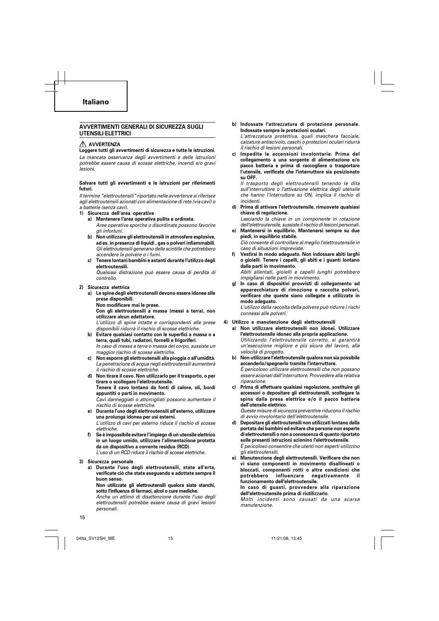### **AVVERTIMENTI GENERALI DI SICUREZZA SUGLI UTENSILI ELETTRICI**

### **AVVERTENZA**

### **Leggere tutti gli avvertimenti di sicurezza e tutte le istruzioni.**

La mancata osservanza degli avvertimenti e delle istruzioni potrebbe essere causa di scosse elettriche, incendi e/o gravi .<br>Iocioni

#### **Salvare tutti gli avvertimenti e le istruzioni per riferimenti futuri.**

Il termine "elettroutensili" riportato nelle avvertenze si riferisce agli elettroutensili azionati con alimentazione di rete (via cavi) o a batterie (senza cavi).

- **1) Sicurezza dell'area operativa**
	- **a) Mantenere l'area operativa pulita e ordinata.** Aree operative sporche o disordinate possono favorire gli infortuni.
	- **b) Non utilizzare gli elettroutensili in atmosfere esplosive, ad es. in presenza di liquidi , gas o polveri infiammabili.** Gli elettroutensili generano delle scintille che potrebbero accendere la polvere o i fumi.
	- **c) Tenere lontani bambini e astanti durante l'utilizzo degli elettroutensili.**

Qualsiasi distrazione può essere causa di perdita di controllo.

### **2) Sicurezza elettrica**

**a) Le spine degli elettroutensili devono essere idonee alle prese disponibili.**

**Non modificare mai le prese.**

**Con gli elettroutensili a massa (messi a terra), non utilizzare alcun adattatore.**

L'utilizzo di spine intatte e corrispondenti alle prese disponibili ridurrà il rischio di scosse elettriche.

- **b) Evitare qualsiasi contatto con le superfici a massa o a terra, quali tubi, radiatori, fornelli e frigoriferi.** In caso di messa a terra o massa del corpo, sussiste un maggior rischio di scosse elettriche.
- **c) Non esporre gli elettroutensili alla pioggia o all'umidità.** La penetrazione di acqua negli elettroutensili aumenterà il rischio di scosse elettriche.
- **d) Non tirare il cavo. Non utilizzarlo per il trasporto, o per tirare o scollegare l'elettroutensile.**

**Tenere il cavo lontano da fonti di calore, oli, bordi appuntiti o parti in movimento.**

Cavi danneggiati o attorcigliati possono aumentare il rischio di scosse elettriche.

- **e) Durante l'uso degli elettroutensili all'esterno, utilizzare una prolunga idonea per usi esterni.** L'utilizzo di cavi per esterno riduce il rischio di scosse elettriche.
- **f) Se è impossibile evitare l'impiego di un utensile elettrico in un luogo umido, utilizzare l'alimentazione protetta da un dispositivo a corrente residua (RCD).** L'uso di un RCD riduce il rischio di scosse elettriche.
- **3) Sicurezza personale**
	- **a) Durante l'uso degli elettroutensili, state all'erta, verificate ciò che state eseguendo e adottate sempre il buon senso.**

**Non utilizzate gli elettroutensili qualora siate stanchi, sotto l'influenza di farmaci, alcol o cure mediche.**

Anche un attimo di disattenzione durante l'uso degli elettroutensili potrebbe essere causa di gravi lesioni personali.

**b) Indossate l'attrezzatura di protezione personale. Indossate sempre le protezioni oculari.**

L'attrezzatura protettiva, quali maschera facciale, calzature antiscivolo, caschi o protezioni oculari ridurrà il rischio di lesioni personali.

**c) Impedite le accensioni involontarie. Prima del collegamento a una sorgente di alimentazione e/o pacco batteria e prima di raccogliere o trasportare l'utensile, verificate che l'interruttore sia posizionato su OFF.**

Il trasporto degli elettroutensili tenendo le dita sull'interruttore o l'attivazione elettrica degli utensile che hanno l'interruttore su ON, implica il rischio di incidenti.

**d) Prima di attivare l'elettroutensile, rimuovete qualsiasi chiave di regolazione.**

Lasciando la chiave in un componente in rotazione dell'elettroutensile, sussiste il rischio di lesioni personali.

- **e) Mantenersi in equilibrio. Mantenersi sempre su due piedi, in equilibrio stabile.** Ciò consente di controllare al meglio l'elettroutensile in caso di situazioni impreviste.
- **f) Vestirsi in modo adeguato. Non indossare abiti larghi o gioielli. Tenere i capelli, gli abiti e i guanti lontano dalle parti in movimento.**

Abiti allentati, gioielli e capelli lunghi potrebbero impigliarsi nelle parti in movimento.

**g) In caso di dispositivi provvisti di collegamento ad apparecchiature di rimozione e raccolta polveri, verificare che queste siano collegate e utilizzate in modo adeguato.**

L'utilizzo della raccolta della polvere può ridurre i rischi connessi alle polveri.

### **4) Utilizzo e manutenzione degli elettroutensili**

- **a) Non utilizzare elettroutensili non idonei. Utilizzare l'elettroutensile idoneo alla propria applicazione.** Utilizzando l'elettroutensile corretto, si garantirà un'esecuzione migliore e più sicura del lavoro, alla velocità di progetto.
- **b) Non utilizzare l'elettroutensile qualora non sia possibile accenderlo/spegnerlo tramite l'interruttore.**

É pericoloso utilizzare elettroutensili che non possano essere azionati dall'interruttore. Provvedere alla relativa riparazione.

**c) Prima di effettuare qualsiasi regolazione, sostituire gli accessori o depositare gli elettroutensili, scollegare la spina dalla presa elettrica e/o il pacco batteria dall'utensile elettrico.**

Queste misure di sicurezza preventive riducono il rischio di avvio involontario dell'elettroutensile.

**d) Depositare gli elettroutensili non utilizzati lontano dalla portata dei bambini ed evitare che persone non esperte di elettroutensili o non a conoscenza di quanto riportato sulle presenti istruzioni azionino l'elettroutensile.**

É pericoloso consentire che utenti non esperti utilizzino gli elettroutensili.

**e) Manutenzione degli elettroutensili. Verificare che non vi siano componenti in movimento disallineati o bloccati, componenti rotti o altre condizioni che potrebbero influenzare negativamente il funzionamento dell'elettroutensile.**

**In caso di guasti, provvedere alla riparazione dell'elettroutensile prima di riutilizzarlo.**

Molti incidenti sono causati da una scarsa manutenzione.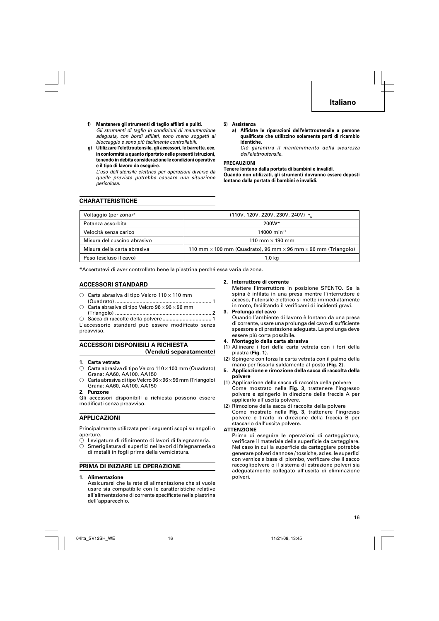- **f) Mantenere gli strumenti di taglio affilati e puliti.** Gli strumenti di taglio in condizioni di manutenzione adeguata, con bordi affilati, sono meno soggetti al bloccaggio e sono più facilmente controllabili.
- **g) Utilizzare l'elettroutensile, gli accessori, le barrette, ecc. in conformità a quanto riportato nelle presenti istruzioni, tenendo in debita considerazione le condizioni operative e il tipo di lavoro da eseguire.**

L'uso dell'utensile elettrico per operazioni diverse da quelle previste potrebbe causare una situazione pericolosa.

### **CHARATTERISTICHE**

| Voltaggio (per zona)*       | $(110V, 120V, 220V, 230V, 240V)$ 1,                                                |
|-----------------------------|------------------------------------------------------------------------------------|
| Potanza assorbita           | $200W*$                                                                            |
| Velocità senza carico       | $14000$ min <sup>-1</sup>                                                          |
| Misura del cuscino abrasivo | 110 mm $\times$ 190 mm                                                             |
| Misura della carta abrasiva | 110 mm $\times$ 100 mm (Quadrato), 96 mm $\times$ 96 mm $\times$ 96 mm (Triangolo) |
| Peso (escluso il cavo)      | 1,0 kg                                                                             |

**5) Assistenza**

**PRECAUZIONI**

**identiche.**

dell'elettroutensile.

**Tenere lontano dalla portata di bambini e invalidi.**

**lontano dalla portata di bambini e invalidi.**

\*Accertatevi di aver controllato bene la piastrina perché essa varia da zona.

### **ACCESSORI STANDARD**

- $\circ$  Carta abrasiva di tipo Velcro 110 × 110 mm
- (Quadrato) ................................................................... 1  $\bigcirc$  Carta abrasiva di tipo Velcro 96  $\times$  96  $\times$  96 mm (Triangolo) ................................................................... 2
- Sacca di raccolte della polvere .................................. 1

L'accessorio standard può essere modificato senza preavviso.

### **ACCESSORI DISPONIBILI A RICHIESTA (Venduti separatamente)**

### **1. Carta vetrata**

- $\circ$  Carta abrasiva di tipo Velcro 110 × 100 mm (Quadrato) Grana: AA60, AA100, AA150
- $\circ$  Carta abrasiva di tipo Velcro 96 × 96 × 96 mm (Triangolo) Grana: AA60, AA100, AA150

#### **2. Punzone**

Gli accessori disponibili a richiesta possono essere modificati senza preavviso.

### **APPLICAZIONI**

Principalmente utilizzata per i seguenti scopi su angoli o aperture.

- $\overrightarrow{O}$  Levigatura di rifinimento di lavori di falegnameria.
- Smerigliatura di superfici nei lavori di falegnameria o di metalli in fogli prima della verniciatura.

### **PRIMA DI INIZIARE LE OPERAZIONE**

### **1. Alimentazione**

Assicurarsi che la rete di alimentazione che si vuole usare sia compatibile con le caratteristiche relative all'alimentazione di corrente specificate nella piastrina dell'apparecchio.

### **2. Interruttore di corrente**

Mettere l'interruttore in posizione SPENTO. Se la spina è infilata in una presa mentre l'interruttore è acceso, l'utensile elettrico si mette immediatamente in moto, facilitando il verificarsi di incidenti gravi.

**a) Affidate le riparazioni dell'elettroutensile a persone qualificate che utilizzino solamente parti di ricambio**

**Quando non utilizzati, gli strumenti dovranno essere deposti**

Ciò garantirà il mantenimento della sicurezza

### **3. Prolunga del cavo**

Quando l'ambiente di lavoro è lontano da una presa di corrente, usare una prolunga del cavo di sufficiente spessore e di prestazione adeguata. La prolunga deve essere più corta possibile.

### **4. Montaggio della carta abrasiva**

- (1) Allineare i fori della carta vetrata con i fori della piastra (**Fig. 1**).
- (2) Spingere con forza la carta vetrata con il palmo della mano per fissarla saldamente al posto (**Fig. 2**).
- **5. Applicazione e rimozione della sacca di raccolta della polvere**
- (1) Applicazione della sacca di raccolta della polvere Come mostrato nella **Fig. 3**, trattenere l'ingresso polvere e spingerlo in direzione della freccia A per applicarlo all'uscita polvere.
- (2) Rimozione della sacca di raccolta della polvere Come mostrato nella **Fig. 3**, trattenere l'ingresso polvere e tirarlo in direzione della freccia B per staccarlo dall'uscita polvere.

### **ATTENZIONE**

Prima di eseguire le operazioni di carteggiatura, verificare il materiale della superficie da carteggiare. Nel caso in cui la superficie da carteggiare potrebbe generare polveri dannose / tossiche, ad es. le superfici con vernice a base di piombo, verificare che il sacco raccoglipolvere o il sistema di estrazione polveri sia adeguatamente collegato all'uscita di eliminazione polveri.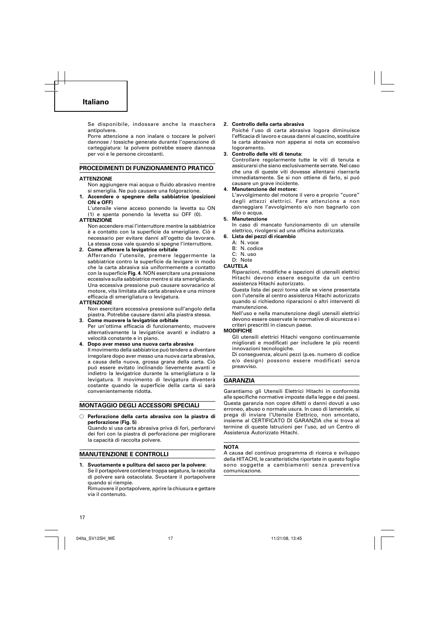### **Italiano**

Se disponibile, indossare anche la maschera antipolvere.

Porre attenzione a non inalare o toccare le polveri dannose / tossiche generate durante l'operazione di carteggiatura: la polvere potrebbe essere dannosa per voi e le persone circostanti.

### **PROCEDIMENTI DI FUNZIONAMENTO PRATICO**

#### **ATTENZIONE**

Non aggiungere mai acqua o fluido abrasivo mentre si smeriglia. Ne può causare una folgorazione.

**1. Accendere o spegnere della sabbiatrice (posizioni ON e OFF)**

L'utensile viene acceso ponendo la levetta su ON (1) e spenta ponendo la levetta su OFF (0).

### **ATTENZIONE**

Non accendere mai l'interruttore mentre la sabbiatrice è a contatto con la superficie da smerigliare. Ciò è necessario per evitare danni all'ogetto da lavorare. La stessa cosa vale quando si spegne l'interruttore.

### **2. Come afferrare la levigatrice orbitale**

Afferrando l'utensile, premere leggermente la sabbiatrice contro la superficie da levigare in modo che la carta abrasiva sia uniformemente a contatto con la superficie **Fig. 4**. NON esercitare una pressione eccessiva sulla sabbiatrice mentre si sta smerigliando. Una eccessiva pressione può causare sovracarico al motore, vita limitata alla carta abrasiva e una minore efficacia di smerigliatura o levigatura.

### **ATTENZIONE**

Non esercitare eccessiva pressione sull'angolo della piastra. Potrebbe causare danni alla piastra stessa.

- **3. Come muovere la levigatrice orbitale** Per un'ottima efficacia di funzionamento, muovere alternativamente la levigatrice avanti e indiatro a velocità constante e in piano.
- **4. Dopo aver messo una nuova carta abrasiva** Il movimento della sabbiatrice può tendere a diventare irregolare dopo aver messo una nuova carta abrasiva, a causa della nuova, grossa grana della carta. Ciò puó essere evitato inclinando lievemente avanti e indietro la levigatrice durante la smerigliatura o la levigatura. Il movimento di levigatura diventerà costante quando la superficie della carta si sarà convenientemente ridotta.

### **MONTAGGIO DEGLI ACCESSORI SPECIALI**

 **Perforazione della carta abrasiva con la piastra di perforazione (Fig. 5)**

Quando si usa carta abrasiva priva di fori, perforarvi dei fori con la piastra di perforazione per migliorare la capacità di raccolta polvere.

### **MANUTENZIONE E CONTROLLI**

**1. Svuotamente e pulitura del sacco per la polvere:**

Se il portapolvere contiene troppa segatura, la raccolta di polvere sarà ostacolata. Svuotare il portapolvere quando si riempie.

Rimuovere il portapolvere, aprire la chiusura e gettare via il contenuto.

### **2. Controllo della carta abrasiva**

Poiché l'uso di carta abrasiva logora diminuisce l'efficacia di lavoro e causa danni al cuscino, sostituire la carta abrasiva non appena si nota un eccessivo logoramento.

### **3. Controllo delle viti di tenuta:**

Controllare regolarmente tutte le viti di tenuta e assicurarsi che siano esclusìvamente serrate. Nel caso che una di queste viti dovesse allentarsi riserrarla immediatamente. Se si non ottiene di farlo, si puó causare un grave incidente.

### **4. Manutenzione del motore:**

L'avvolgimento del motore il vero e proprio "cuore" degli attezzi elettrici. Fare attenzione a non danneggiare l'avvolgimento e/o non bagnarlo con olio o acqua.

### **5. Manutenzione**

In caso di mancato funzionamento di un utensile elettrico, rivolgersi ad una officina autorizzata.

- **6. Lista dei pezzi di ricambio**
	- A: N. voce
	- B: N. codice
	- C: N. uso
	- D: Note

### **CAUTELA**

Riparazioni, modifiche e ispezioni di utensili elettrici Hitachi devono essere eseguite da un centro assistenza Hitachi autorizzato.

Questa lista dei pezzi torna utile se viene presentata con l'utensile al centro assistenza Hitachi autorizzato quando si richiedono riparazioni o altri interventi di manutenzione.

Nell'uso e nella manutenzione degli utensili elettrici devono essere osservate le normative di sicurezza e i criteri prescritti in ciascun paese.

#### **MODIFICHE**

Gli utensili elettrici Hitachi vengono continuamente migliorati e modificati per includere le più recenti innovazioni tecnologiche.

Di conseguenza, alcuni pezzi (p.es. numero di codice e/o design) possono essere modificati senza preavviso.

### **GARANZIA**

Garantiamo gli Utensili Elettrici Hitachi in conformità alle specifiche normative imposte dalla legge e dai paesi. Questa garanzia non copre difetti o danni dovuti a uso erroneo, abuso o normale usura. In caso di lamentele, si prega di inviare l'Utensile Elettrico, non smontato, insieme al CERTIFICATO DI GARANZIA che si trova al termine di queste Istruzioni per l'uso, ad un Centro di Assistenza Autorizzato Hitachi.

### **NOTA**

A causa del continuo programma di ricerca e sviluppo della HITACHI, le caratteristiche riportate in questo foglio sono soggette a cambiamenti senza preventiva comunicazione.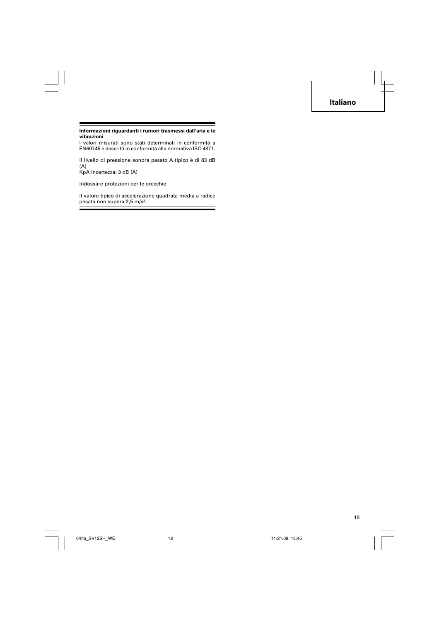### **Italiano**

### **Informazioni riguardanti i rumori trasmessi dall'aria e le vibrazioni**

I valori misurati sono stati determinati in conformitá a EN60745 e descritti in conformità alla normativa ISO 4871.

Il livello di pressione sonora pesato A tipico è di 83 dB (A) KpA incertezza: 3 dB (A)

Indossare protezioni per le orecchie.

Il valore tipico di accelerazione quadrata media a radice pesata non supera 2,5 m/s².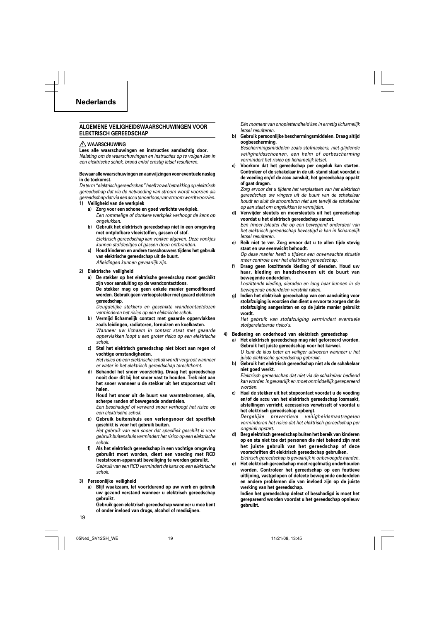### **ALGEMENE VEILIGHEIDSWAARSCHUWINGEN VOOR ELEKTRISCH GEREEDSCHAP**

### **WAARSCHUWING**

**Lees alle waarschuwingen en instructies aandachtig door.** Nalating om de waarschuwingen en instructies op te volgen kan in

een elektrische schok, brand en/of ernstig letsel resulteren.

### **Bewaar alle waarschuwingen en aanwijzingen voor eventuele naslag in de toekomst.**

De term "elektrisch gereedschap" heeft zowel betrekking op elektrisch gereedschap dat via de netvoeding van stroom wordt voorzien als gereedschap dat via een accu (snoerloos) van stroom wordt voorzien.

- **1) Veiligheid van de werkplek**
	- **a) Zorg voor een schone en goed verlichte werkplek.** Een rommelige of donkere werkplek verhoogt de kans op ongelukken.
	- **b) Gebruik het elektrisch gereedschap niet in een omgeving met ontplofbare vloeistoffen, gassen of stof.** Elektrisch gereedschap kan vonken afgeven. Deze vonkjes kunnen stofdeeltjes of gassen doen ontbranden.
	- **c) Houd kinderen en andere toeschouwers tijdens het gebruik van elektrische gereedschap uit de buurt.** Afleidingen kunnen gevaarlijk zijn.

### **2) Elektrische veiligheid**

**a) De stekker op het elektrische gereedschap moet geschikt zijn voor aansluiting op de wandcontactdoos.**

**De stekker mag op geen enkele manier gemodificeerd worden. Gebruik geen verloopstekker met geaard elektrisch gereedschap.**

Deugdelijke stekkers en geschikte wandcontactdozen verminderen het risico op een elektrische schok.

- **b) Vermijd lichamelijk contact met geaarde oppervlakken zoals leidingen, radiatoren, fornuizen en koelkasten.** Wanneer uw lichaam in contact staat met geaarde oppervlakken loopt u een groter risico op een elektrische schok.
- **c) Stel het elektrisch gereedschap niet bloot aan regen of vochtige omstandigheden.**

Het risico op een elektrische schok wordt vergroot wanneer er water in het elektrisch gereedschap terechtkomt.

**d) Behandel het snoer voorzichtig. Draag het gereedschap nooit door dit bij het snoer vast te houden. Trek niet aan het snoer wanneer u de stekker uit het stopcontact wilt halen.**

**Houd het snoer uit de buurt van warmtebronnen, olie, scherpe randen of bewegende onderdelen.**

Een beschadigd of verward snoer verhoogt het risico op een elektrische schok.

**e) Gebruik buitenshuis een verlengsnoer dat specifiek geschikt is voor het gebruik buiten.** Het gebruik van een snoer dat specifiek geschikt is voor

gebruik buitenshuis vermindert het risico op een elektrische schok.

**f) Als het elektrisch gereedschap in een vochtige omgeving gebruikt moet worden, dient een voeding met RCD (reststroom-apparaat) beveiliging te worden gebruikt.** Gebruik van een RCD vermindert de kans op een elektrische schok.

### **3) Persoonlijke veiligheid**

**a) Blijf waakzaam, let voortdurend op uw werk en gebruik uw gezond verstand wanneer u elektrisch gereedschap gebruikt.**

**Gebruik geen elektrisch gereedschap wanneer u moe bent of onder invloed van drugs, alcohol of medicijnen.**

Eén moment van onoplettendheid kan in ernstig lichamelijk letsel resulteren.

**b) Gebruik persoonlijke beschermingsmiddelen. Draag altijd oogbescherming.**

Beschermingsmiddelen zoals stofmaskers, niet-glijdende veiligheidsschoenen, een helm of oorbescherming vermindert het risico op lichamelijk letsel.

**c) Voorkom dat het gereedschap per ongeluk kan starten. Controleer of de schakelaar in de uit- stand staat voordat u de voeding en/of de accu aansluit, het gereedschap oppakt of gaat dragen.**

Zorg ervoor dat u tijdens het verplaatsen van het elektrisch gereedschap uw vingers uit de buurt van de schakelaar houdt en sluit de stroombron niet aan terwijl de schakelaar op aan staat om ongelukken te vermijden.

- **d) Verwijder sleutels en moersleutels uit het gereedschap voordat u het elektrisch gereedschap aanzet.** Een (moer-)sleutel die op een bewegend onderdeel van het elektrisch gereedschap bevestigd is kan in lichamelijk letsel resulteren.
- **e) Reik niet te ver. Zorg ervoor dat u te allen tijde stevig staat en uw evenwicht behoudt.** Op deze manier heeft u tijdens een onverwachte situatie meer controle over het elektrisch gereedschap.
- **f) Draag geen loszittende kleding of sieraden. Houd uw haar, kleding en handschoenen uit de buurt van bewegende onderdelen.**

Loszittende kleding, sieraden en lang haar kunnen in de bewegende onderdelen verstrikt raken.

**g) Indien het elektrisch gereedschap van een aansluiting voor stofafzuiging is voorzien dan dient u ervoor te zorgen dat de stofafzuiging aangesloten en op de juiste manier gebruikt wordt.**

Het gebruik van stofafzuiging vermindert eventuele stofgerelateerde risico's.

### **4) Bediening en onderhoud van elektrisch gereedschap**

- **a) Het elektrisch gereedschap mag niet geforceerd worden. Gebruik het juiste gereedschap voor het karwei.** U kunt de klus beter en veiliger uitvoeren wanneer u het juiste elektrische gereedschap gebruikt.
- **b) Gebruik het elektrisch gereedschap niet als de schakelaar niet goed werkt.** Elektrisch gereedschap dat niet via de schakelaar bediend

kan worden is gevaarlijk en moet onmiddellijk gerepareerd worden.

**c) Haal de stekker uit het stopcontact voordat u de voeding en/of de accu van het elektrisch gereedschap losmaakt, afstellingen verricht, accessoires verwisselt of voordat u het elektrisch gereedschap opbergt.**

Dergelijke preventieve veiligheidsmaatregelen verminderen het risico dat het elektrisch gereedschap per ongeluk opstart.

- **d) Berg elektrisch gereedschap buiten het bereik van kinderen op en sta niet toe dat personen die niet bekend zijn met het juiste gebruik van het gereedschap of deze voorschriften dit elektrisch gereedschap gebruiken.** Eletrisch gereedschap is gevaarlijk in onbevoegde handen.
- **e) Het elektrisch gereedschap moet regelmatig onderhouden worden. Controleer het gereedschap op een foutieve uitlijning, vastgelopen of defecte bewegende onderdelen en andere problemen die van invloed zijn op de juiste werking van het gereedschap.**

**Indien het gereedschap defect of beschadigd is moet het gerepareerd worden voordat u het gereedschap opnieuw gebruikt.**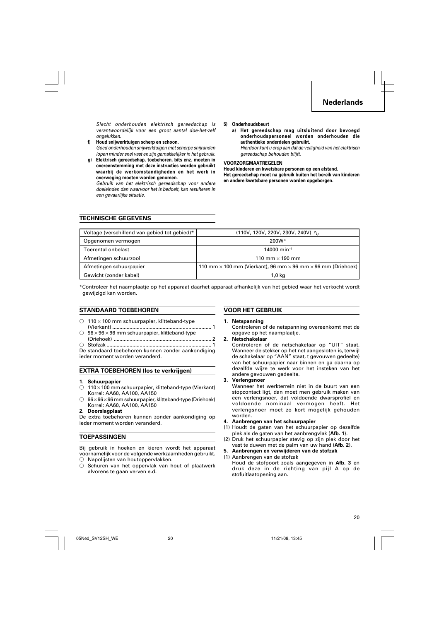Slecht onderhouden elektrisch gereedschap is verantwoordelijk voor een groot aantal doe-het-zelf ongelukken.

- **f) Houd snijwerktuigen scherp en schoon.** Goed onderhouden snijwerktuigen met scherpe snijranden lopen minder snel vast en zijn gemakkelijker in het gebruik.
- **g) Elektrisch gereedschap, toebehoren, bits enz. moeten in overeenstemming met deze instructies worden gebruikt waarbij de werkomstandigheden en het werk in overweging moeten worden genomen.**

Gebruik van het elektrisch gereedschap voor andere doeleinden dan waarvoor het is bedoelt, kan resulteren in een gevaarlijke situatie.

- **5) Onderhoudsbeurt**
	- **a) Het gereedschap mag uitsluitend door bevoegd onderhoudspersoneel worden onderhouden die authentieke onderdelen gebruikt.**

Hierdoor kunt u erop aan dat de veiligheid van het elektrisch gereedschap behouden blijft.

### **VOORZORGMAATREGELEN**

**Houd kinderen en kwetsbare personen op een afstand. Het gereedschap moet na gebruik buiten het bereik van kinderen en andere kwetsbare personen worden opgeborgen.**

### **TECHNISCHE GEGEVENS**

| Voltage (verschillend van gebied tot gebied)* | $(110V, 120V, 220V, 230V, 240V)$ $\Lambda$ ,                                      |
|-----------------------------------------------|-----------------------------------------------------------------------------------|
| Opgenomen vermogen                            | $200W*$                                                                           |
| Toerental onbelast                            | $14000$ min <sup>-1</sup>                                                         |
| Afmetingen schuurzool                         | 110 mm $\times$ 190 mm                                                            |
| Afmetingen schuurpapier                       | 110 mm $\times$ 100 mm (Vierkant), 96 mm $\times$ 96 mm $\times$ 96 mm (Driehoek) |
| Gewicht (zonder kabel)                        | 1.0 ka                                                                            |

\*Controleer het naamplaatje op het apparaat daarhet apparaat afhankelijk van het gebied waar het verkocht wordt gewijzigd kan worden.

### **STANDAARD TOEBEHOREN**

- $\bigcirc$  110 × 100 mm schuurpapier, klitteband-type
- (Vierkant) ..................................................................... 1  $\bigcirc$  96 × 96 × 96 mm schuurpapier, klitteband-type
- (Driehoek) .................................................................... 2
- Stofzak ......................................................................... 1

De standaard toebehoren kunnen zonder aankondiging ieder moment worden veranderd.

### **EXTRA TOEBEHOREN (los te verkrijgen)**

#### **1. Schuurpapier**

- $\degree$  110 × 100 mm schuurpapier, klitteband-type (Vierkant) Korrel: AA60, AA100, AA150
- $\bigcirc$  96 × 96 × 96 mm schuurpapier, klitteband-type (Driehoek) Korrel: AA60, AA100, AA150

#### **2. Doorslagplaat**

De extra toebehoren kunnen zonder aankondiging op ieder moment worden veranderd.

### **TOEPASSINGEN**

Bij gebruik in hoeken en kieren wordt het apparaat voornamelijk voor de volgende werkzaamheden gebruikt.  $\bigcirc$  Napolijsten van houtoppervlakken.

- 
- Schuren van het oppervlak van hout of plaatwerk alvorens te gaan verven e.d.

### **VOOR HET GEBRUIK**

#### **1. Netspanning**

Controleren of de netspanning overeenkomt met de opgave op het naamplaatje.

### **2. Netschakelaar**

Controleren of de netschakelaar op "UIT" staat. Wanneer de stekker op het net aangesloten is, terwijl de schakelaar op "AAN" staat, t gevouwen gedeelte) van het schuurpapier naar binnen en ga daarna op dezelfde wijze te werk voor het insteken van het andere gevouwen gedeelte.

#### **3. Verlengsnoer**

Wanneer het werkterrein niet in de buurt van een stopcontact ligt, dan moet men gebruik maken van een verlengsnoer, dat voldoende dwarsprofiel en voldoende nominaal vermogen heeft. Het verlengsnoer moet zo kort mogelijk gehouden worden.

- **4. Aanbrengen van het schuurpapier**
- (1) Houdt de gaten van het schuurpapier op dezelfde plek als de gaten van het aanbrengvlak (**Afb. 1**).
- (2) Druk het schuurpapier stevig op zijn plek door het vast te duwen met de palm van uw hand (**Afb. 2**).
- **5. Aanbrengen en verwijderen van de stofzak**

(1) Aanbrengen van de stofzak Houd de stofpoort zoals aangegeven in **Afb. 3** en druk deze in de richting van pijl A op de stofuitlaatopening aan.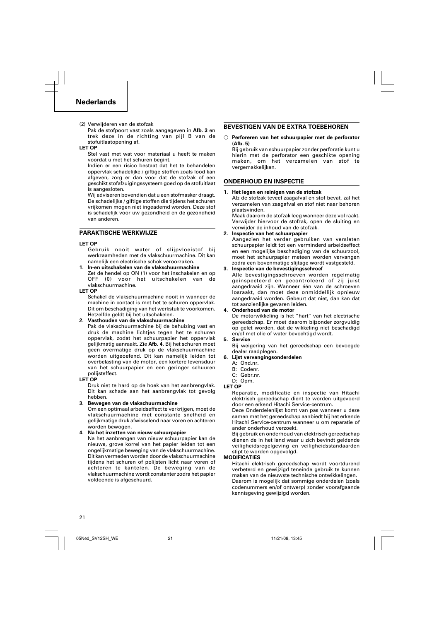### **Nederlands**

(2) Verwijderen van de stofzak

Pak de stofpoort vast zoals aangegeven in **Afb. 3** en trek deze in de richting van pijl B van de stofuitlaatopening af.

### **LET OP**

Stel vast met wat voor materiaal u heeft te maken voordat u met het schuren begint.

Indien er een risico bestaat dat het te behandelen oppervlak schadelijke / giftige stoffen zoals lood kan afgeven, zorg er dan voor dat de stofzak of een geschikt stofafzuigingssysteem goed op de stofuitlaat is aangesloten.

Wij adviseren bovendien dat u een stofmasker draagt. De schadelijke / giftige stoffen die tijdens het schuren vrijkomen mogen niet ingeademd worden. Deze stof is schadelijk voor uw gezondheid en de gezondheid van anderen.

### **PARAKTISCHE WERKWIJZE**

### **LET OP**

Gebruik nooit water of slijpvloeistof bij werkzaamheden met de vlakschuurmachine. Dit kan namelijk een electrische schok veroorzaken.

**1. In-en uitschakelen van de vlakschuurmachine** Zet de hendel op ON (1) voor het inschakelen en op OFF (0) voor het uitschakelen van de (0) voor het uitschakelen van de vlakschuurmachine.

### **LET OP**

Schakel de vlakschuurmachine nooit in wanneer de machine in contact is met het te schuren oppervlak. Dit om beschadiging van het werkstuk te voorkomen. Hetzelfde geldt bij het uitschakelen.

**2. Vasthouden van de vlakschuurmachine**

Pak de vlakschuurmachine bij de behuizing vast en druk de machine lichtjes tegen het te schuren oppervlak, zodat het schuurpapier het oppervlak gelijkmatig aanraakt. Zie **Afb. 4**. Bij het schuren moet geen overmatige druk op de vlakschuurmachine worden uitgeoefend. Dit kan namelijk leiden tot overbelasting van de motor, een kortere levensduur van het schuurpapier en een geringer schuuren polijsteffect.

### **LET OP**

Druk niet te hard op de hoek van het aanbrengvlak. Dit kan schade aan het aanbrengvlak tot gevolg hebben.

### **3. Bewegen van de vlakschuurmachine**

Om een optimaal arbeidseffect te verkrijgen, moet de vlakschuurmachine met constante snelheid en gelijkmatige druk afwisselend naar voren en achteren worden bewogen.

### **4. Na het inzetten van nieuw schuurpapier**

Na het aanbrengen van nieuw schuurpapier kan de nieuwe, grove korrel van het papier leiden tot een ongelijkmatige beweging van de vlakschuurmachine. Dit kan vermeden worden door de vlakschuurmachine tijdens het schuren of polijsten licht naar voren of achteren te kantelen. De beweging van de vlakschuurmachine wordt constanter zodra het papier voldoende is afgeschuurd.

### **BEVESTIGEN VAN DE EXTRA TOEBEHOREN**

### **Perforeren van het schuurpapier met de perforator (Afb. 5)**

Bij gebruik van schuurpapier zonder perforatie kunt u hierin met de perforator een geschikte opening maken, om het verzamelen van stof te vergemakkelijken.

### **ONDERHOUD EN INSPECTIE**

### **1. Het legen en reinigen van de stofzak**

Alz de stofzak teveel zaagafval en stof bevat, zal het verzamelen van zaagafval en stof niet naar behoren plaatsvinden.

Maak daarom de stofzak leeg wanneer deze vol raakt. Verwijder hiervoor de stofzak, open de sluiting en verwijder de inhoud van de stofzak.

### **2. Inspectie van het schuurpapier**

Aangezien het verder gebruiken van versleten schuurpapier leidt tot een verminderd arbeidseffect en een mogelijke beschadiging van de schuurzool, moet het schuurpapier meteen worden vervangen zodra een bovenmatige slijtage wordt vastgesteld.

### **3. Inspectie van de bevestigingsschroef**

Alle bevestigingsschroeven worden regelmatig geinspecteerd en gecontroleerd of zij juist aangedraaid zijn. Wanneer één van de schroeven losraakt, dan moet deze onmiddellijk opnieuw aangedraaid worden. Gebeurt dat niet, dan kan dat tot aanzienlijke gevaren leiden.

### **4. Onderhoud van de motor**

De motorwikkeling is het "hart" van het electrische gereedschap. Er moet daarom bijzonder zorgvuldig op gelet worden, dat de wikkeling niet beschadigd en/of met olie of water bevochtigd wordt.

### **5. Service**

Bij weigering van het gereedschap een bevoegde dealer raadplegen.

### **6. Lijst vervangingsonderdelen**

- A: Ond.nr.
- B: Codenr.
- C: Gebr.nr.
- D: Opm.

### **LET OP**

Reparatie, modificatie en inspectie van Hitachi elektrisch gereedschap dient te worden uitgevoerd door een erkend Hitachi Service-centrum.

Deze Onderdelenlijst komt van pas wanneer u deze samen met het gereedschap aanbiedt bij het erkende Hitachi Service-centrum wanneer u om reparatie of ander onderhoud verzoekt.

Bij gebruik en onderhoud van elektrisch gereedschap dienen de in het land waar u zich bevindt geldende veiligheidsregelgeving en veiligheidsstandaarden stipt te worden opgevolgd.

### **MODIFICATIES**

Hitachi elektrisch gereedschap wordt voortdurend verbeterd en gewijzigd teneinde gebruik te kunnen maken van de nieuwste technische ontwikkelingen. Daarom is mogelijk dat sommige onderdelen (zoals codenummers en/of ontwerp) zonder voorafgaande kennisgeving gewijzigd worden.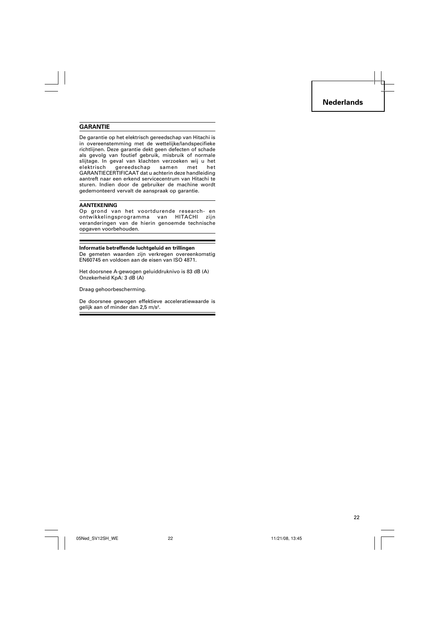### **GARANTIE**

De garantie op het elektrisch gereedschap van Hitachi is in overeenstemming met de wettelijke/landspecifieke richtlijnen. Deze garantie dekt geen defecten of schade als gevolg van foutief gebruik, misbruik of normale slijtage. In geval van klachten verzoeken wij u het elektrisch gereedschap samen met het GARANTIECERTIFICAAT dat u achterin deze handleiding aantreft naar een erkend servicecentrum van Hitachi te sturen. Indien door de gebruiker de machine wordt gedemonteerd vervalt de aanspraak op garantie.

### **AANTEKENING**

Op grond van het voortdurende research- en<br>ontwikkelingsprogramma van HITACHI zijn ontwikkelingsprogramma van veranderingen van de hierin genoemde technische opgaven voorbehouden.

### **Informatie betreffende luchtgeluid en trillingen**

De gemeten waarden zijn verkregen overeenkomstig EN60745 en voldoen aan de eisen van ISO 4871.

Het doorsnee A-gewogen geluiddruknivo is 83 dB (A) Onzekerheid KpA: 3 dB (A)

Draag gehoorbescherming.

De doorsnee gewogen effektieve acceleratiewaarde is gelijk aan of minder dan 2,5 m/s<sup>2</sup>.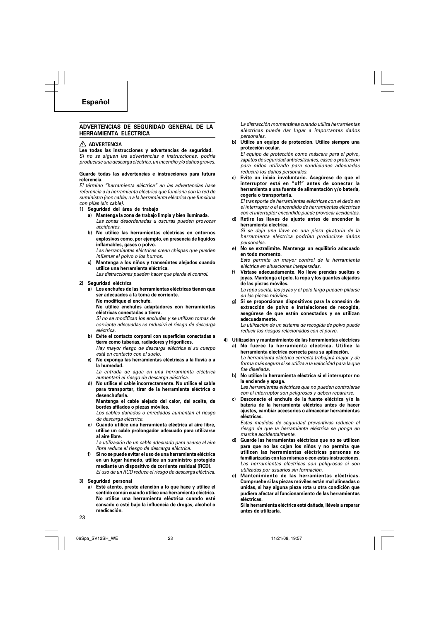### **ADVERTENCIAS DE SEGURIDAD GENERAL DE LA HERRAMIENTA ELÉCTRICA**

### **ADVERTENCIA**

**Lea todas las instrucciones y advertencias de seguridad.**

Si no se siguen las advertencias e instrucciones, podría producirse una descarga eléctrica, un incendio y/o daños graves.

### **Guarde todas las advertencias e instrucciones para futura referencia.**

El término "herramienta eléctrica" en las advertencias hace referencia a la herramienta eléctrica que funciona con la red de suministro (con cable) o a la herramienta eléctrica que funciona con pilas (sin cable).

- **1) Seguridad del área de trabajo**
	- **a) Mantenga la zona de trabajo limpia y bien iluminada.** Las zonas desordenadas u oscuras pueden provocar accidentes.
	- **b) No utilice las herramientas eléctricas en entornos explosivos como, por ejemplo, en presencia de líquidos inflamables, gases o polvo.**

Las herramientas eléctricas crean chispas que pueden inflamar el polvo o los humos.

**c) Mantenga a los niños y transeúntes alejados cuando utilice una herramienta eléctrica.** Las distracciones pueden hacer que pierda el control.

### **2) Seguridad eléctrica**

- **a) Los enchufes de las herramientas eléctricas tienen que ser adecuados a la toma de corriente.**
	- **No modifique el enchufe.**

**No utilice enchufes adaptadores con herramientas eléctricas conectadas a tierra.**

Si no se modifican los enchufes y se utilizan tomas de corriente adecuadas se reducirá el riesgo de descarga eléctrica.

- **b) Evite el contacto corporal con superficies conectadas a tierra como tuberías, radiadores y frigoríficos.** Hay mayor riesgo de descarga eléctrica si su cuerpo está en contacto con el suelo.
- **c) No exponga las herramientas eléctricas a la lluvia o a la humedad.**

La entrada de agua en una herramienta eléctrica aumentará el riesgo de descarga eléctrica.

**d) No utilice el cable incorrectamente. No utilice el cable para transportar, tirar de la herramienta eléctrica o desenchufarla.**

**Mantenga el cable alejado del calor, del aceite, de bordes afilados o piezas móviles.**

Los cables dañados o enredados aumentan el riesgo de descarga eléctrica.

**e) Cuando utilice una herramienta eléctrica al aire libre, utilice un cable prolongador adecuado para utilizarse al aire libre.**

La utilización de un cable adecuado para usarse al aire libre reduce el riesgo de descarga eléctrica.

**f) Si no se puede evitar el uso de una herramienta eléctrica en un lugar húmedo, utilice un suministro protegido mediante un dispositivo de corriente residual (RCD).** El uso de un RCD reduce el riesgo de descarga eléctrica.

### **3) Seguridad personal**

**a) Esté atento, preste atención a lo que hace y utilice el sentido común cuando utilice una herramienta eléctrica. No utilice una herramienta eléctrica cuando esté cansado o esté bajo la influencia de drogas, alcohol o medicación.**

La distracción momentánea cuando utiliza herramientas eléctricas puede dar lugar a importantes daños personales.

**b) Utilice un equipo de protección. Utilice siempre una protección ocular.**

El equipo de protección como máscara para el polvo, zapatos de seguridad antideslizantes, casco o protección para oídos utilizado para condiciones adecuadas reducirá los daños personales.

**c) Evite un inicio involuntario. Asegúrese de que el interruptor está en "off" antes de conectar la herramienta a una fuente de alimentación y/o batería, cogerla o transportarla.**

El transporte de herramientas eléctricas con el dedo en el interruptor o el encendido de herramientas eléctricas con el interruptor encendido puede provocar accidentes.

**d) Retire las llaves de ajuste antes de encender la herramienta eléctrica.**

Si se deja una llave en una pieza giratoria de la herramienta eléctrica podrían producirse daños personales.

**e) No se extralimite. Mantenga un equilibrio adecuado en todo momento.**

Esto permite un mayor control de la herramienta eléctrica en situaciones inesperadas.

**f) Vístase adecuadamente. No lleve prendas sueltas o joyas. Mantenga el pelo, la ropa y los guantes alejados de las piezas móviles.**

La ropa suelta, las joyas y el pelo largo pueden pillarse en las piezas móviles.

**g) Si se proporcionan dispositivos para la conexión de extracción de polvo e instalaciones de recogida, asegúrese de que están conectados y se utilizan adecuadamente.**

La utilización de un sistema de recogida de polvo puede reducir los riesgos relacionados con el polvo.

- **4) Utilización y mantenimiento de las herramientas eléctricas a) No fuerce la herramienta eléctrica. Utilice la herramienta eléctrica correcta para su aplicación.** La herramienta eléctrica correcta trabajará mejor y de forma más segura si se utiliza a la velocidad para la que fue diseñada.
	- **b) No utilice la herramienta eléctrica si el interruptor no la enciende y apaga.**

Las herramientas eléctricas que no pueden controlarse con el interruptor son peligrosas y deben repararse.

**c) Desconecte el enchufe de la fuente eléctrica y/o la batería de la herramienta eléctrica antes de hacer ajustes, cambiar accesorios o almacenar herramientas eléctricas.**

Estas medidas de seguridad preventivas reducen el riesgo de que la herramienta eléctrica se ponga en marcha accidentalmente.

- **d) Guarde las herramientas eléctricas que no se utilicen para que no las cojan los niños y no permita que utilicen las herramientas eléctricas personas no familiarizadas con las mismas o con estas instrucciones.** Las herramientas eléctricas son peligrosas si son utilizadas por usuarios sin formación.
- **e) Mantenimiento de las herramientas eléctricas. Compruebe si las piezas móviles están mal alineadas o unidas, si hay alguna pieza rota u otra condición que pudiera afectar al funcionamiento de las herramientas eléctricas.**

**Si la herramienta eléctrica está dañada, llévela a reparar antes de utilizarla.**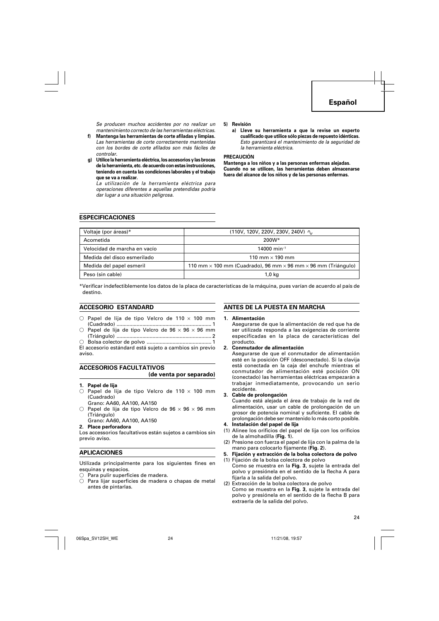Se producen muchos accidentes por no realizar un mantenimiento correcto de las herramientas eléctricas.

- **f) Mantenga las herramientas de corte afiladas y limpias.** Las herramientas de corte correctamente mantenidas con los bordes de corte afilados son más fáciles de controlar.
- **g) Utilice la herramienta eléctrica, los accesorios y las brocas de la herramienta, etc. de acuerdo con estas instrucciones, teniendo en cuenta las condiciones laborales y el trabajo que se va a realizar.**

La utilización de la herramienta eléctrica para operaciones diferentes a aquellas pretendidas podría dar lugar a una situación peligrosa.

### **5) Revisión**

**a) Lleve su herramienta a que la revise un experto cualificado que utilice sólo piezas de repuesto idénticas.** Esto garantizará el mantenimiento de la seguridad de la herramienta eléctrica.

### **PRECAUCIÓN**

**Mantenga a los niños y a las personas enfermas alejadas. Cuando no se utilicen, las herramientas deben almacenarse fuera del alcance de los niños y de las personas enfermas.**

### **ESPECIFICACIONES**

| Voltaje (por áreas)*         | (110V, 120V, 220V, 230V, 240V) 0,                                                  |
|------------------------------|------------------------------------------------------------------------------------|
| Acometida                    | $200W*$                                                                            |
| Velocidad de marcha en vacío | $14000$ min <sup>-1</sup>                                                          |
| Medida del disco esmerilado  | 110 mm $\times$ 190 mm                                                             |
| Medida del papel esmeril     | 110 mm $\times$ 100 mm (Cuadrado), 96 mm $\times$ 96 mm $\times$ 96 mm (Triángulo) |
| Peso (sin cable)             | $1,0$ kg                                                                           |

\*Verificar indefectiblemente los datos de la placa de características de la máquina, pues varían de acuerdo al país de destino.

### **ACCESORIO ESTANDARD**

- $\bigcirc$  Papel de lija de tipo Velcro de 110  $\times$  100 mm (Cuadrado) .................................................................. 1
- $\circ$  Papel de lija de tipo Velcro de 96  $\times$  96  $\times$  96 mm (Triángulo) .................................................................. 2
- Bolsa colector de polvo ............................................. 1

El accesorio estándard está sujeto a cambios sin previo aviso.

### **ACCESORIOS FACULTATIVOS (de venta por separado)**

- **1. Papel de lija**
- $\bigcirc$  Papel de lija de tipo Velcro de 110  $\times$  100 mm (Cuadrado)
	- Grano: AA60, AA100, AA150
- $\bigcirc$  Papel de lija de tipo Velcro de 96  $\times$  96  $\times$  96 mm (Triángulo)
- Grano: AA60, AA100, AA150

### **2. Place perforadora**

Los accessorios facultativos están sujetos a cambios sin previo aviso.

### **APLICACIONES**

Utilizada principalmente para los siguientes fines en esquinas y espacios.

- $\bigcirc$  Para pulir superficies de madera.
- $\bigcirc$  Para lijar superficies de madera o chapas de metal antes de pintarlas.

### **ANTES DE LA PUESTA EN MARCHA**

### **1. Alimentación**

Asegurarse de que la alimentación de red que ha de ser utilizada responda a las exigencias de corriente especificadas en la placa de características del producto.

### **2. Conmutador de alimentación**

Asegurarse de que el conmutador de alimentación esté en la posición OFF (desconectado). Si la clavija está conectada en la caja del enchufe mientras el conmutador de alimentación esté pocisión ON (conectado) las herramientas eléctricas empezarán a trabajar inmedìatamente, provocando un serio accidente.

### **3. Cable de prolongación**

Cuando está alejada el área de trabajo de la red de alimentación, usar un cable de prolongación de un grosor de potencia nominal y suficiente. El cable de prolongación debe ser mantenido lo más corto posible.

- **4. Instalación del papel de lija**
- (1) Alinee los orificios del papel de lija con los orificios de la almohadilla (**Fig. 1**).
- (2) Presione con fuerza el papel de lija con la palma de la mano para colocarlo fijamente (**Fig. 2**).
- **5. Fijación y extracción de la bolsa colectora de polvo**
- (1) Fijación de la bolsa colectora de polvo Como se muestra en la **Fig. 3**, sujete la entrada del polvo y presiónela en el sentido de la flecha A para fijarla a la salida del polvo.
- (2) Extracción de la bolsa colectora de polvo Como se muestra en la **Fig. 3**, sujete la entrada del polvo y presiónela en el sentido de la flecha B para extraerla de la salida del polvo.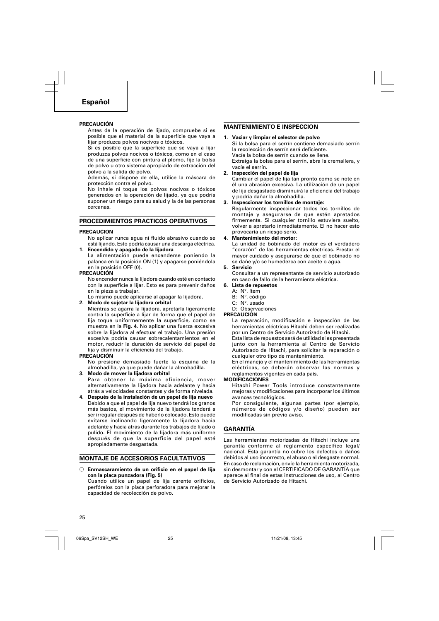### **Español**

### **PRECAUCIÓN**

Antes de la operación de lijado, compruebe si es posible que el material de la superficie que vaya a lijar produzca polvos nocivos o tóxicos.

Si es posible que la superficie que se vaya a lijar produzca polvos nocivos o tóxicos, como en el caso de una superficie con pintura al plomo, fije la bolsa de polvo u otro sistema apropiado de extracción del polvo a la salida de polvo.

Además, si dispone de ella, utilice la máscara de protección contra el polvo.

No inhale ni toque los polvos nocivos o tóxicos generados en la operación de lijado, ya que podría suponer un riesgo para su salud y la de las personas cercanas.

### **PROCEDIMIENTOS PRACTICOS OPERATIVOS**

### **PRECAUCION**

No aplicar runca agua ni fluido abrasivo cuando se está lijando. Esto podría causar una descarga eléctrica.

**1. Encendido y apagado de la lijadora** La alimentación puede encenderse poniendo la palanca en la posición ON (1) y apagarse poniéndola en la posición OFF (0).

### **PRECAUCIÓN**

No encender nunca la lijadora cuando esté en contacto con la superficie a lijar. Esto es para prevenir daños en la pieza a trabajar.

Lo mismo puede aplicarse al apagar la lijadora.

**2. Modo de sujetar la lijadora orbital**

Mientras se agarra la lijadora, apretarla ligeramente contra la superficie a lijar de forma que el papel de lija toque uniformemente la superficie, como se muestra en la **Fig. 4**. No aplicar una fuerza excesiva sobre la lijadora al efectuar el trabajo. Una presión excesiva podría causar sobrecalentamientos en el motor, reducir la duración de servicio del papel de lija y disminuir la eficiencia del trabajo.

### **PRECAUCIÓN**

No presione demasiado fuerte la esquina de la almohadilla, ya que puede dañar la almohadilla.

**3. Modo de mover la lijadora orbital**

Para obtener la máxima eficiencia, mover alternativamente la lijadora hacia adelante y hacia atrás a velocidades constantes y de forma nivelada.

**4. Después de la instalación de un papel de lija nuevo** Debido a que el papel de lija nuevo tendrá los granos más bastos, el movimiento de la lijadora tenderá a ser irregular después de haberlo colocado. Esto puede evitarse inclinando ligeramente la lijadora hacia adelante y hacia atrás durante los trabajos de lijado o pulido. El movimiento de la lijadora más uniforme después de que la superficie del papel esté apropiadamente desgastada.

### **MONTAJE DE ACCESORIOS FACULTATIVOS**

 **Enmascaramiento de un orificio en el papel de lija con la placa punzadora (Fig. 5)**

Cuando utilice un papel de lija carente orificios, perfórelos con la placa perforadora para mejorar la capacidad de recolección de polvo.

### **MANTENIMIENTO E INSPECCION**

### **1. Vaciar y limpiar el celector de polvo**

Si la bolsa para el serrín contiene demasiado serrín la recolección de serrín será deficiente. Vacíe la bolsa de serrín cuando se llene. Extraiga la bolsa para el serrín, abra la cremallera, y vacíe el serrín.

### **2. Inspección del papel de lija**

Cambiar el papel de lija tan pronto como se note en él una abrasión excesiva. La utilización de un papel de lija desgastado disminuirá la eficiencia del trabajo y podría dañar la almohadilla.

### **3. Inspeccionar los tornillos de montaje:**

Regularmente inspeccionar todos los tornillos de montaje y asegurarse de que estén apretados firmemente. Si cualquier tornillo estuviera suelto, volver a apretarlo inmediatamente. El no hacer esto provocaría un riesgo serio.

### **4. Mantenimiento del motor:**

La unidad de bobinado del motor es el verdadero "corazón" de las herramientas eléctricas. Prestar el mayor cuidado y asegurarse de que el bobinado no se dañe y/o se humedezca con aceite o agua.

### **5. Servicio**

Consultar a un representante de servicio autorizado en caso de fallo de la herramienta eléctrica.

### **6. Lista de repuestos**

- A: N°. ítem
- B: N°. código
- C: N°. usado
- D: Observaciones

### **PRECAUCIÓN**

La reparación, modificación e inspección de las herramientas eléctricas Hitachi deben ser realizadas por un Centro de Servicio Autorizado de Hitachi.

Esta lista de repuestos será de utilidad si es presentada junto con la herramienta al Centro de Servicio Autorizado de Hitachi, para solicitar la reparación o cualquier otro tipo de mantenimiento.

En el manejo y el mantenimiento de las herramientas eléctricas, se deberán observar las normas y reglamentos vigentes en cada país.

### **MODIFICACIONES**

Hitachi Power Tools introduce constantemente mejoras y modificaciones para incorporar los últimos avances tecnológicos.

Por consiguiente, algunas partes (por ejemplo, números de códigos y/o diseño) pueden ser modificadas sin previo aviso.

### **GARANTÍA**

Las herramientas motorizadas de Hitachi incluye una garantía conforme al reglamento específico legal/ nacional. Esta garantía no cubre los defectos o daños debidos al uso incorrecto, el abuso o el desgaste normal. En caso de reclamación, envíe la herramienta motorizada, sin desmontar y con el CERTIFICADO DE GARANTÍA que aparece al final de estas instrucciones de uso, al Centro de Servicio Autorizado de Hitachi.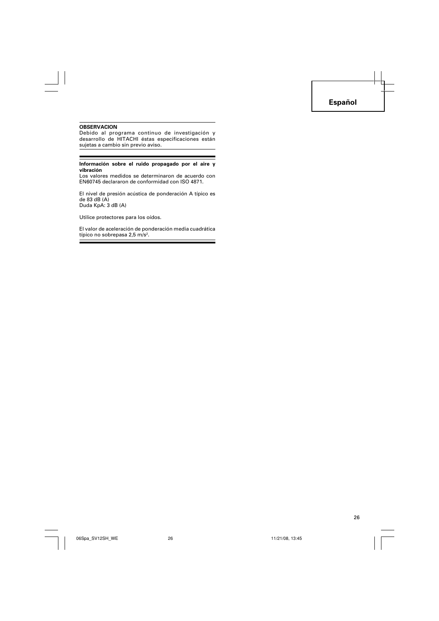### **Español**

### **OBSERVACION**

Ξ

Debido al programa continuo de investigación y desarrollo de HITACHI éstas especificaciones están sujetas a cambio sin previo aviso.

### **Información sobre el ruido propagado por el aire y vibración**

Los valores medidos se determinaron de acuerdo con EN60745 declararon de conformidad con ISO 4871.

El nivel de presión acústica de ponderación A típico es de 83 dB (A) Duda KpA: 3 dB (A)

Utilice protectores para los oídos.

El valor de aceleración de ponderación media cuadrática típico no sobrepasa 2,5 m/s².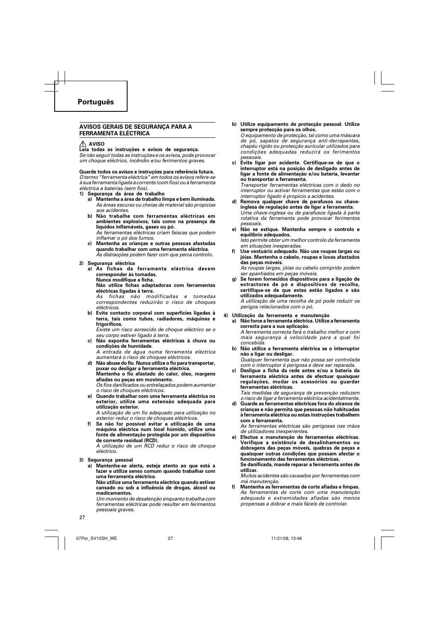### **AVISOS GERAIS DE SEGURANÇA PARA A FERRAMENTA ELÉCTRICA**

### **AVISO**

**Leia todas as instruções e avisos de segurança.** Se não seguir todas as instruções e os avisos, pode provocar um choque eléctrico, incêndio e/ou ferimentos graves.

### **Guarde todos os avisos e instruções para referência futura.**

O termo "ferramenta eléctrica" em todos os avisos refere-se à sua ferramenta ligada à corrente (com fios) ou à ferramenta eléctrica a baterias (sem fios).

- **1) Segurança da área de trabalho**
	- **a) Mantenha a área de trabalho limpa e bem iluminada.** As áreas escuras ou cheias de material são propícias aos acidentes.
	- **b) Não trabalhe com ferramentas eléctricas em ambientes explosivos, tais como na presença de líquidos inflamáveis, gases ou pó.** As ferramentas eléctricas criam faíscas que podem inflamar o pó dos fumos.
	- **c) Mantenha as crianças e outras pessoas afastadas quando trabalhar com uma ferramenta eléctrica.** As distracções podem fazer com que perca controlo.

#### **2) Segurança eléctrica**

**a) As fichas da ferramenta eléctrica devem corresponder às tomadas.**

**Nunca modifique a ficha. Não utilize fichas adaptadoras com ferramentas eléctricas ligadas à terra.**

As fichas não modificadas e tomadas correspondentes reduzirão o risco de choques eléctricos.

**b) Evite contacto corporal com superfícies ligadas à terra, tais como tubos, radiadores, máquinas e frigoríficos.**

Existe um risco acrescido de choque eléctrico se o seu corpo estiver ligado à terra.

**c) Não exponha ferramentas eléctricas à chuva ou condições de humidade.** A entrada de água numa ferramenta eléctrica

aumentará o risco de choques eléctricos.

- **d) Não abuse do fio. Nunca utilize o fio para transportar, puxar ou desligar a ferramenta eléctrica. Mantenha o fio afastado do calor, óleo, margens afiadas ou peças em movimento.** Os fios danificados ou entrelaçados podem aumentar o risco de choques eléctricos. **e) Quando trabalhar com uma ferramenta eléctrica no**
- **exterior, utilize uma extensão adequada para utilização exterior.**

A utilização de um fio adequado para utilização no exterior reduz o risco de choques eléctricos.

**f) Se não for possível evitar a utilização de uma máquina eléctrica num local húmido, utilize uma fonte de alimentação protegida por um dispositivo de corrente residual (RCD).**

A utilização de um RCD reduz o risco de choque eléctrico.

- **3) Segurança pessoal**
	- **a) Mantenha-se alerta, esteja atento ao que está a fazer e utilize senso comum quando trabalhar com uma ferramenta eléctrica.**

**Não utilize uma ferramenta eléctrica quando estiver cansado ou sob a influência de drogas, álcool ou medicamentos.**

Um momento de desatenção enquanto trabalha com ferramentas eléctricas pode resultar em ferimentos pessoais graves.

**b) Utilize equipamento de protecção pessoal. Utilize sempre protecção para os olhos.**

O equipamento de protecção, tal como uma máscara de pó, sapatos de segurança anti-derrapantes, chapéu rígido ou protecção auricular utilizados para condições adequadas reduzirá os ferimentos pessoais.

**c) Evite ligar por acidente. Certifique-se de que o interruptor está na posição de desligado antes de ligar a fonte de alimentação e/ou bateria, levantar ou transportar a ferramenta.**

Transportar ferramentas eléctricas com o dedo no interruptor ou activar ferramentas que estão com o interruptor ligado é propício a acidentes.

- **d) Remova qualquer chave de parafusos ou chaveinglesa de regulação antes de ligar a ferramenta.** Uma chave-inglesa ou de parafusos ligada à parte rotativa da ferramenta pode provocar ferimentos pessoais.
- **e) Não se estique. Mantenha sempre o controlo e equilíbrio adequados.** Isto permite obter um melhor controlo da ferramenta em situações inesperadas.
- **f) Use vestuário adequado. Não use roupas largas ou jóias. Mantenha o cabelo, roupas e luvas afastados das peças móveis.**

As roupas largas, jóias ou cabelo comprido podem ser apanhados em peças móveis.

**g) Se forem fornecidos dispositivos para a ligação de extractores de pó e dispositivos de recolha, certifique-se de que estes estão ligados e são utilizados adequadamente.**

A utilização de uma recolha de pó pode reduzir os perigos relacionados com o pó.

- **4) Utilização da ferramenta e manutenção**
	- **a) Não force a ferramenta eléctrica. Utilize a ferramenta correcta para a sua aplicação.**

A ferramenta correcta fará o trabalho melhor e com mais segurança à velocidade para a qual foi concebida.

**b) Não utilize a ferramenta eléctrica se o interruptor não a ligar ou desligar.** Qualquer ferramenta que não possa ser controlada

com o interruptor é perigosa e deve ser reparada.

**c) Desligue a ficha da rede antes e/ou a bateria da ferramenta eléctrica antes de efectuar quaisquer regulações, mudar os acessórios ou guardar ferramentas eléctricas.**

Tais medidas de segurança de prevenção reduzem o risco de ligar a ferramenta eléctrica acidentalmente.

**d) Guarde as ferramentas eléctricas fora do alcance de crianças e não permita que pessoas não habituadas à ferramenta eléctrica ou estas instruções trabalhem com a ferramenta.**

As ferramentas eléctricas são perigosas nas mãos de utilizadores inexperientes.

**e) Efectue a manutenção de ferramentas eléctricas. Verifique a existência de desalinhamentos ou dobragens das peças móveis, quebras de peças e quaisquer outras condições que possam afectar o funcionamento das ferramentas eléctricas.**

**Se danificada, mande reparar a ferramenta antes de utilizar.**

Muitos acidentes são causados por ferramentas com má manutenção.

**f) Mantenha as ferramentas de corte afiadas e limpas.** As ferramentas de corte com uma manutenção adequada e extremidades afiadas são menos propensas a dobrar e mais fáceis de controlar.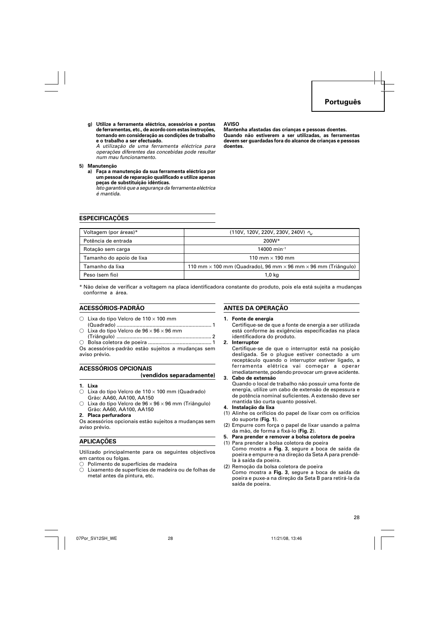**g) Utilize a ferramenta eléctrica, acessórios e pontas de ferramentas, etc., de acordo com estas instruções, tomando em consideração as condições de trabalho e o trabalho a ser efectuado.**

A utilização de uma ferramenta eléctrica para operações diferentes das concebidas pode resultar num mau funcionamento.

**5) Manutenção**

**a) Faça a manutenção da sua ferramenta eléctrica por um pessoal de reparação qualificado e utilize apenas peças de substituição idênticas.**

Isto garantirá que a segurança da ferramenta eléctrica é mantida.

**AVISO**

**Mantenha afastadas das crianças e pessoas doentes. Quando não estiverem a ser utilizadas, as ferramentas devem ser guardadas fora do alcance de crianças e pessoas doentes.**

### **ESPECIFICAÇÕES**

| Voltagem (por áreas)*    | $(110V, 120V, 220V, 230V, 240V)$ 1,                                                |
|--------------------------|------------------------------------------------------------------------------------|
| Potência de entrada      | $200W*$                                                                            |
| Rotação sem carga        | $14000$ min <sup>-1</sup>                                                          |
| Tamanho do apoio de lixa | 110 mm $\times$ 190 mm                                                             |
| Tamanho da lixa          | 110 mm $\times$ 100 mm (Quadrado), 96 mm $\times$ 96 mm $\times$ 96 mm (Triângulo) |
| Peso (sem fio)           | 1,0 kg                                                                             |

\* Não deixe de verificar a voltagem na placa identificadora constante do produto, pois ela está sujeita a mudanças conforme a área.

### **ACESSÓRIOS-PADRÃO**

- $\bigcirc$  Lixa do tipo Velcro de 110  $\times$  100 mm (Quadrado) .................................................................. 1
- $\circ$  Lixa do tipo Velcro de 96  $\times$  96  $\times$  96 mm (Triângulo) .................................................................. 2
- Bolsa coletora de poeira ............................................ 1

Os acessórios-padrão estão sujeitos a mudanças sem aviso prévio.

### **ACESSÓRIOS OPCIONAIS (vendidos separadamente)**

### **1. Lixa**

- $\bigcirc$  Lixa do tipo Velcro de 110  $\times$  100 mm (Quadrado) Grão: AA60, AA100, AA150
- $\circ$  Lixa do tipo Velcro de 96 × 96 × 96 mm (Triângulo) Grão: AA60, AA100, AA150

### **2. Placa perfuradora**

Os acessórios opcionais estão sujeitos a mudanças sem aviso prévio.

### **APLICAÇÕES**

Utilizado principalmente para os seguintes objectivos em cantos ou folgas.

- Polimento de superfícies de madeira
- Lixamento de superfícies de madeira ou de folhas de metal antes da pintura, etc.

### **ANTES DA OPERAÇÃO**

**1. Fonte de energia** Certifique-se de que a fonte de energia a ser utilizada está conforme às exigências especificadas na placa identificadora do produto.

#### **2. Interruptor**

Certifique-se de que o interruptor está na posição desligada. Se o plugue estiver conectado a um receptáculo quando o interruptor estiver ligado, a ferramenta elétrica vai começar a operar imediatamente, podendo provocar um grave acidente.

### **3. Cabo de extensão**

Quando o local de trabalho não possuir uma fonte de energia, utilize um cabo de extensão de espessura e de potência nominal suficientes. A extensão deve ser mantida tão curta quanto possível.

### **4. Instalação da lixa**

- (1) Alinhe os orifícios do papel de lixar com os orifícios do suporte (**Fig. 1**).
- (2) Empurre com força o papel de lixar usando a palma da mão, de forma a fixá-lo (**Fig. 2**).
- **5. Para prender e remover a bolsa coletora de poeira**
- (1) Para prender a bolsa coletora de poeira Como mostra a **Fig. 3**, segure a boca de saída da poeira e empurre-a na direção da Seta A para prendêla à saída da poeira.
- (2) Remoção da bolsa coletora de poeira Como mostra a **Fig. 3**, segure a boca de saída da poeira e puxe-a na direção da Seta B para retirá-la da saída de poeira.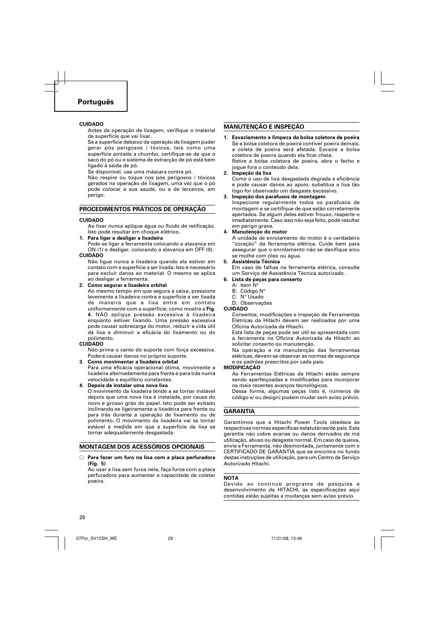### **Português**

### **CUIDADO**

Antes da operação de lixagem, verifique o material da superfície que vai lixar.

Se a superfície debaixo da operação de lixagem puder gerar pós perigosos / tóxicos, tais como uma superfície pintada a chumbo, certifique-se de que o saco do pó ou o sistema de extracção de pó está bem ligado à saída de pó.

Se disponível, use uma máscara contra pó.

Não respire ou toque nos pós perigosos / tóxicos gerados na operação de lixagem, uma vez que o pó pode colocar a sua saúde, ou a de terceiros, em perigo.

### **PROCEDIMENTOS PRÁTICOS DE OPERAÇÃO**

### **CUIDADO**

Ao lixar nunca aplique água ou fluido de retificação. Isto pode resultar em choque elétrico.

**1. Para ligar e desligar a lixadeira** Pode-se ligar a ferramenta colocando a alavanca em ON (1) e desligar, colocando a alavanca em OFF (0).

### **CUIDADO**

Não ligue nunca a lixadeira quando ela estiver em contato com a superfície a ser lixada. Isto é necessário para excluir danos ao material. O mesmo se aplica ao desligar a ferramenta.

**2. Como segurar a lixadeira orbital**

Ao mesmo tempo em que segura a caixa, pressione levemente a lixadeira contra a superfície a ser lixada de maneira que a lixa entre em contato uniformemente com a superfície, como mostra a **Fig. 4**. NÃO aplique pressão excessiva à lixadeira enquanto estiver lixando. Uma pressão excessiva pode causar sobrecarga do motor, reduzir a vida útil da lixa e diminuir a eficácia do lixamento ou do polimento.

### **CUIDADO**

Não prima o canto do suporte com força excessiva. Poderá causar danos no próprio suporte.

**3. Como movimentar a lixadeira orbital**

Para uma eficácia operacional ótima, movimente a lixadeira alternadamente para frente e para trás numa velocidade e equilíbrio constantes.

**4. Depois de instalar uma nova lixa**

O movimento da lixadeira tende a se tornar instável depois que uma nova lixa é instalada, por causa do novo e grosso grão do papel. Isto pode ser evitado inclinando-se ligeiramente a lixadeira para frente ou para trás durante a operação de lixamento ou de polimento. O movimento da lixadeira vai se tornar estável à medida em que a superfície da lixa se tornar adequadamente desgastada.

### **MONTAGEM DOS ACESSÓRIOS OPCIONAIS**

### **Para fazer um furo na lixa com a placa perfuradora (Fig. 5)**

Ao usar a lixa sem furos nela, faça furos com a placa perfuradora para aumentar a capacidade de coletar poeira.

### **MANUTENÇÃO E INSPEÇÃO**

**1. Esvaziamento e limpeza da bolsa coletora de poeira** Se a bolsa coletora de poeira contiver poeira demais, a coleta de poeira será afetada. Esvazie a bolsa coletora de poeira quando ela ficar cheia. Retire a bolsa coletora de poeira, abra o fecho e jogue fora o conteúdo dela.

### **2. Inspeção da lixa**

Como o uso de lixa desgastada degrada a eficiência e pode causar danos ao apoio, substitua a lixa tão logo for observado um desgaste excessivo.

### **3. Inspeção dos parafusos de montagem**

Inspecione regularmente todos os parafusos de montagem e se certifique de que estão corretamente apertados. Se algum deles estiver frouxo, reaperte-o imediatamente. Caso isso não seja feito, pode resultar em perigo grave.

### **4. Manutenção do motor**

A unidade de enrolamento do motor é o verdadeiro "coração" da ferramenta elétrica. Cuide bem para assegurar que o enrolamento não se danifique e/ou se molhe com óleo ou água.

### **5. Assistência Técnica**

Em caso de falhas na ferramenta elétrica, consulte um Serviço de Assistência Técnica autorizado .

### **6. Lista de peças para conserto**

- A: Item N°
- B: Código N°
- C: N° Usado
- D: Observações

### **CUIDADO**

Consertos, modificações e inspeção de Ferramentas Elétricas da Hitachi devem ser realizados por uma Oficina Autorizada da Hitachi.

Esta lista de peças pode ser útil se apresentada com a ferramenta na Oficina Autorizada da Hitachi ao solicitar conserto ou manutenção.

Na operação e na manutenção das ferramentas elétricas, devem-se observar as normas de segurança e os padrões prescritos por cada país.

#### **MODIFICAÇÃO**

As Ferramentas Elétricas da Hitachi estão sempre sendo aperfeiçoadas e modificadas para incorporar os mais recentes avanços tecnológicos.

Dessa forma, algumas peças (isto é, números de código e/ ou design) podem mudar sem aviso prévio.

### **GARANTIA**

Garantimos que a Hitachi Power Tools obedece às respectivas normas específicas estatutárias/de país. Esta garantia não cobre avarias ou danos derivados de má utilização, abuso ou desgaste normal. Em caso de queixa, envie a Ferramenta, não desmontada, juntamente com o CERTIFICADO DE GARANTIA que se encontra no fundo destas instruções de utilização, para um Centro de Serviço Autorizado Hitachi.

### **NOTA**

Devido ao contínuo programa de pesquisa e desenvolvimento da HITACHI, as especificações aqui contidas estão sujeitas a mudanças sem aviso prévio.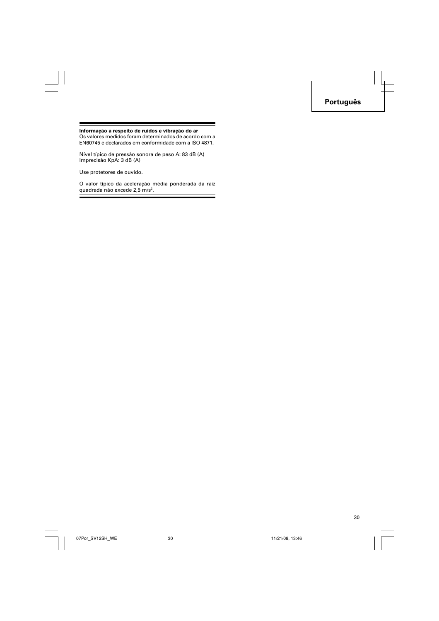### **Português**

**Informação a respeito de ruídos e vibração do ar** Os valores medidos foram determinados de acordo com a EN60745 e declarados em conformidade com a ISO 4871.

Nível típico de pressão sonora de peso A: 83 dB (A) Imprecisão KpA: 3 dB (A)

Use protetores de ouvido.

O valor típico da aceleração média ponderada da raiz quadrada não excede 2,5 m/s².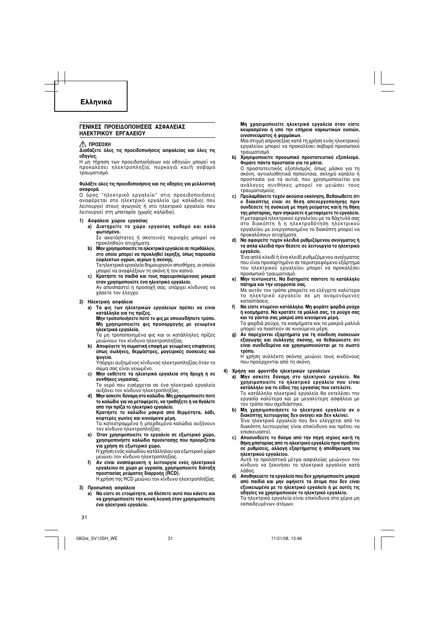### ΓΕΝΙΚΕΣ ΠΡΟΕΙΔΟΠΟΙΗΣΕΙΣ ΑΣΦΑΛΕΙΑΣ **ΗΛΕΚΤΡΙΚΟΥ ΕΡΓΑΛΕΙΟΥ**

### $M$  ΠΡΟΣΟΧΗ

**Διαβάζετε όλες τις προειδοποιήσεις ασφαλείας και όλες τις** οδηγίες.

Η μη τήρηση των προειδοποιήσεων και οδηγιών μπορεί να προκαλέσει ηλεκτροπληξία, πυρκαγιά και/ή σοβαρό τραυµατισµ.

#### Φυλάξτε όλες τις προειδοποιήσεις και τις οδηνίες για μελλοντική **ava**ooó.

Ο όρος "ηλεκτρικό εργαλείο" στις προειδοποιήσεις αναφέρεται στο ηλεκτρικό εργαλείο (με καλώδιο) που λειτουργεί στους αγωγούς ή στο ηλεκτρικό εργαλείο που λειτουργεί στη μπαταρία (χωρίς καλώδιο).

### 1) Ασφάλεια χώρου εργασίας

**a)** Διατηρείτε το χώρο εργασίας καθαρό και καλά Φωτισμένο.

Σε ακατάστατες ή σκοτεινές περιοχές μπορεί να προκληθούν ατυχήματα.

- **b)** Μην χρησιμοποιείτε τα ηλεκτρικά εργαλεία σε περιβάλλον, <u>στο οποίο μπορεί να προκληθεί έκρηξη, όπως παρουσία</u> **εύφλεκτων υνοών, αερίων ή σκόνης.** Τα ηλεκτρικά εργαλεία δημιουργούν σπινθήρες, οι οποίοι μπορεί να αναφλέξουν τη σκόνη ή τον καπνό.
- **c)** Κρατήστε τα παιδιά και τους παρευρισκόμενους μακριά **όταν χρησιμοποιείτε ένα ηλεκτρικό εργαλείο.** Αν αποσπαστεί η προσοχή σας, υπάρχει κίνδυνος να χάσετε τον έλεγχο.

### 2) Ηλεκτρική ασφάλεια

**a)** Τα φις των ηλεκτρικών εργαλείων πρέπει να είναι **κατάλληλα για τις πρίζες. Μην τροποποιήσετε ποτέ το φις με οποιονδήποτε τρόπο. Μη χρησιμοποιείτε φις προσαρμογής με γειωμένα ηλεκτρικά εργαλεία.** 

Τα μη τροποποιημένα φις και οι κατάλληλες πρίζες μειώνουν τον κίνδυνο ηλεκτροπληξίας.

**b)** Αποφύγετε τη σωματική επαφή με γειωμένες επιφάνειες όπως σωλήνες, θερμάστρες, μαγειρικές συσκευές και **ψυνεία.** 

Υπάρχει αυξημένος κίνδυνος ηλεκτροπληξίας όταν το σώµα σας είναι γειωµέν .

c) Μην εκθέτετε τα ηλεκτρικά εργαλεία στη βροχή ή σε συνθήκες υγρασίας.

Το νερό που εισέρχεται σε ένα ηλεκτρικό εργαλείο αυξάνει τον κίνδυνο ηλεκτροπληξίας.

d) Μην ασκείτε δύναμη στο καλώδιο. Μη χρησιμοποιείτε ποτέ το καλώδιο για να μεταφέρετε, να τραβήξετε ή να βγάλετε από την πρίζα το ηλεκτρικό εργαλείο.

Κρατήστε το καλώδιο μακριά από θερμότητα, λάδι, ΚΟΦΤΕρές γωνίες και κινούμενα μέρη.

Τα κατεστραμμένα ή μπερδεμένα καλώδια αυξάνουν τον κίνδυνο ηλεκτροπληξίας.

- e) Όταν χρησιμοποιείτε το ερναλείο σε εξωτερικό χώρο. χρησιμοποιήστε καλώδιο προέκτασης που προορίζεται Χια χρήση σε εξωτερικό χώρο. Η χρήση ενός καλωδίου κατάλληλου για εξωτερικό χώρο μειώνει τον κίνδυνο ηλεκτροπληξίας.
- **Av είναι αναπόφευκτη η λειτουργία ενός ηλεκτρικού** εργαλείου σε χώρο με υγρασία, χρησιμοποιείτε διάταξη προστασίας ρεύματος διαρροής (RCD).

H χρήση της RCD μειώνει τον κίνδυνο ηλεκτροπληξίας.

### 3) Προσωπική ασφάλεια

**a)** Nα είστε σε ετοιμότητα, να βλέπετε αυτό που κάνετε και **να χρησιμοποιείτε την κοινή λογική όταν χρησιμοποιείτε** ένα ηλεκτρικό εργαλείο.

#### **Mn χρησιμοποιείτε ηλεκτρικά ερναλεία όταν είστε ΚΟ**υρασμένοι ή υπό την επήρεια ναρκωτικών ουσιών. **ΟΙ**νοπνεύματος ή φαρμάκων.

Μια στιγμή απροσεξίας κατά τη χρήση ενός ηλεκτρικού εργαλείου μπορεί να προκαλέσει σοβαρό προσωπικό τραυµατισµ.

b) Χρησιμοποιείτε προσωπικό προστατευτικό εξοπλισμό. **Φοράτε πάντα προστασία για τα μάτια.** 

Ο προστατευτικός εξοπλισμός, όπως μάσκα για τη σκόνη, αντιολισθητικά παπούτσια, σκληρό καπέλο ή προστασία για τα αυτιά, που χρησιμοποιείται για ανάλ γες συνθήκες µπ ρεί να µειώσει τ υς τραυµατισµ ύς.

- c) Προλαμβάνετε τυχόν ακούσια εκκίνηση. Βεβαιωθείτε ότι **ο διακόπτης είναι σε θέση απενερνοποίησης πριν** συνδέσετε τη συσκευή με πηνή ρεύματος και/ή τη θήκη <u>της μπαταρίας, πριν σηκώσετε ή μεταφέρετε το εργαλείο.</u> Η μεταφορά ηλεκτρικού εργαλείου με τα δάχτυλά σας στο διακόπτη ή η ηλεκτροδότηση ηλεκτρικού εργαλείου με ενεργοποιημένο το διακόπτη μπορεί να προκαλέσουν ατυχήματα.
- **d)** Να αφαιρείτε τυχόν κλειδιά ρυθμιζόμενου ανοίνματος ή τα απλά κλειδιά ποιν θέσετε σε λειτουονία το ηλεκτοικό ερναλείο.

Ένα απλό κλειδί ή ένα κλειδί ρυθμιζόμενου ανοίγματος που είναι προσαρτημένο σε περιστρεφόμενο εξάρτημα του ηλεκτρικού εργαλείου μπορεί να προκαλέσει προσωπικό τραυματισμό.

- e) **Μην τεντώνεστε. Να διατηρείτε πάντοτε το κατάλληλο πάτημα και την ισορροπία σας.** Με αυτόν τον τρόπο μπορείτε να ελέγχετε καλύτερα το ηλεκτρικό εργαλείο σε μη αναμενόμενες καταστάσεις. f) Να είστε ντυμένοι κατάλληλα. Μη φοράτε φαρδιά ρούχα
- *n* κοσμήματα. Να κοστάτε τα μαλλιά σας, τα ορύχα σας **Και τα νάντια σας μακριά από κινούμενα μέρη.** Τα φαρδιά ρούχα, τα κοσμήματα και τα μακριά μαλλιά µπ ρεί να πιαστ ύν σε κιν ύµενα µέρη.
- **g)** Αν παρέχονται εξαρτήματα νια τη σύνδεση συσκευών **εξανωνής και συλλονής σκόνης, να βεβαιώνεστε ότι είναι συνδεδεμένα και χρησιμοποιούνται με το σωστό ΤΟΌΠΟ.**

Η χρήση συλλέκτη σκόνης μειώνει τους κινδύνους που προέρχονται από τη σκόνη.

- 4) Χρήση και φροντίδα ηλεκτρικών εργαλείων
	- a) Μην ασκείτε δύναμη στο ηλεκτρικό εργαλείο. Να **χρησιμοποιείτε το ηλεκτρικό εργαλείο που είναι** κατάλληλο για το είδος της εργασίας που εκτελείτε. Το κατάλληλο ηλεκτρικό εργαλείο θα εκτελέσει την εργασία καλύτερα και µε µεγαλύτερη ασάλεια µε τον τρόπο που σχεδιάστηκε.
	- **b) Mn** *YONGIUOTOIŃGETE TO NAEKTOIKÓ EOVALEÍO AV O* διακόπτης λειτουργίας δεν ανοίγει και δεν κλείνει. Ένα ηλεκτρικό εργαλείο που δεν ελέγχεται από το διακόπτη λειτουργίας είναι επικίνδυνο και πρέπει να επισκευαστεί.
	- c) Αποσυνδέετε το βύσμα από την πηγή ισχύος και/ή τη θήκη μπαταρίας από το ηλεκτρικό εργαλείο πριν προ**βείτε σε ρυθμίσεις, αλλαγή εξαρτήματος ή αποθήκευση του ηλεκτρικού εργαλείου.**

Αυτά τα προληπτικά μέτρα ασφαλείας μειώνουν τον κίνδυνο να ξεκινήσει το ηλεκτρικό εργαλείο κατά λάθος.

**d)** Αποθήκεύετε τα εργαλεία που δεν χρησιμοποιείτε μακριά **από παιδιά και μην αφήνετε τα άτομα που δεν είναι** εξοικειωμένα με το ηλεκτρικό εργαλείο ή με αυτές τις οδηγίες να χρησιμοποιούν το ηλεκτρικό εργαλείο.

Τα ηλεκτρικά εργαλεία είναι επικίνδυνα στα χέρια μη εκπαιδευμένων ατόμων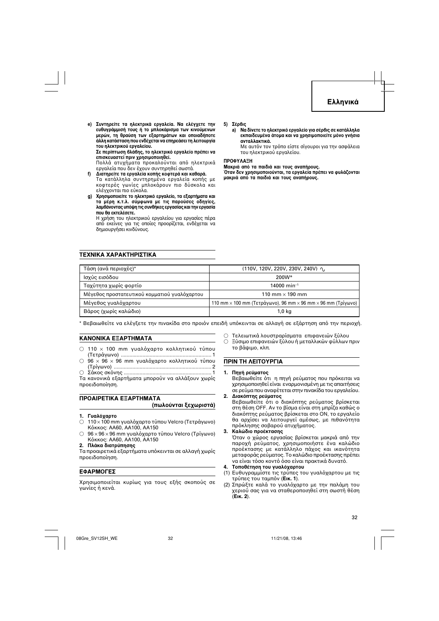e) Συντηρείτε τα ηλεκτρικά ερναλεία. Να ελένχετε την **ευθυνοάμμισή τους ή το μπλοκάρισμα των κινούμενων μερών, τη θραύση των εξαρτημάτων και οποιαδήποτε** <u>άλλη κατάσταση που ενδένεται να επηρεάσει τη λειτουργία</u> **ΤΟ**Η ΠΑΕΚΤΟΙΚΟΎ ΕΟΥΠΑΕΙΟΗ. Σε περίπτωση βλάβης, το ηλεκτρικό ερναλείο πρέπει να **ΕΠΙσκευαστεί πριν χρήσιμοποιηθεί.** 

Πολλά ατυχήματα προκαλούνται από ηλεκτρικά εργαλεία που δεν έχουν συντηρηθεί σωστά.

- f) Διατηρείτε τα ερναλεία κοπής κοφτερά και καθαρά. Τα κατάλληλα συντηρηµένα εργαλεία κ πής µε κοφτερές γωνίες μπλοκάρουν πιο δύσκολα και ελέγχονται πιο εύκολα.
- **g)** Χρησιμοποιείτε το ηλεκτρικό ερναλείο, τα εξαρτήματα και τα μέρη κ.τ.λ. σύμφωνα με τις παρούσες οδηνίες. <u>λαμβάνοντας υπόψη τις συνθήκες εργασίας και την εργασία</u> **ΠΟ**υ θα εκτελέσετε.

Η χρήση του ηλεκτρικού εργαλείου για εργασίες πέρα από εκείνες για τις οποίες προορίζεται, ενδέχεται να δηµι υργήσει κινδύν υς.

- 5) Σέρβις
	- **a) Ng δίνετε το ηλεκτρικό ερναλείο νια σέρβις σε κατάλληλα εκπαιδευμένα άτομα και να χρησιμοποιείτε μόνο γνήσια ανταλλακτικά**.

Με αυτόν τον τρόπο είστε σίγουροι για την ασφάλεια του ηλεκτρικού εργαλείου.

### **ΠΡΟΦΥΛΑΞΗ**

**Μακριά από τα παιδιά και τους αναπήρους.** <u>Όταν δεν χρησιμοποιούνται, τα ερναλεία πρέπει να φυλάζονται</u> **μακριά από τα παιδιά και τους αναπήρους.** 

### *Δ***ΕΣΩΝΙΚΑ ΧΑΡΑΚΤΗΡΙΣΤΙΚΑ**

| Τάση (ανά περιοχές)*                         | (110V, 120V, 220V, 230V, 240V)                               |
|----------------------------------------------|--------------------------------------------------------------|
| Ισχύς εισόδου                                | $200W*$                                                      |
| Ταχύτητα χωρίς φορτίο                        | $14000$ min <sup>-1</sup>                                    |
| Μέγεθος προστατευτικού κομματιού γυαλόχαρτου | 110 mm $\times$ 190 mm                                       |
| Μέγεθος γυαλόχαρτου                          | 110 mm × 100 mm (Τετράγωνο), 96 mm × 96 mm × 96 mm (Τρίγωνο) |
| Βάρος (χωρίς καλώδιο)                        | 1,0 kg                                                       |

\* Βεβαιωθείτε να ελέγξετε την πινακίδα στο προιόν επειδή υπόκεινται σε αλλαγή σε εξάρτηση από την περιοχή.

### **KANONIKA EEAPTHMATA**

- $\circlearrowright$  110  $\times$  100 mm γυαλόχαρτο κολλητικού τύπου (Tετράγων ) ............................................................... 1
- $\circlearrowright$  96  $\times$  96 mm γυαλόχαρτο κολλητικού τύπου
- (Τρίγων ) .................................................................... 2
- Σάκ ς σκνης ............................................................. 1 Τα κανονικά εξαρτήματα μπορούν να αλλάξουν χωρίς

προειδοποίηση.

### **¶POAIPETIKA E•APTHMATA (πωλούνται ξεχωριστά)**

### **1.** Γυαλόγαοτο

- $\circlearrowright$  110  $\times$  100 mm γυαλόχαρτο τύπου Velcro (Τετράγωνο) Κόκκος: ΑΑ60, ΑΑ100, ΑΑ150
- $\circlearrowright$  96 × 96 mm γυαλόχαρτο τύπου Velcro (Τρίγωνο) Κόκκος: ΑΑ60, ΑΑ100, ΑΑ150

### 2. Πλάκα διατρύπησης

Tα προαιρετικά εξαρτήματα υπόκεινται σε αλλαγή χωρίς προειδοποίηση.

### **ΕΦΑΡΜΟΓΕΣ**

Χρησιμοποιείται κυρίως για τους εξής σκοπούς σε γωνίες ή κενά.

- $\circlearrowright$  Τελειωτικά λουστραρίσματα επιφανειών ξύλου
- ⊙ Ξύσιμο επιφανειών ξύλου ή μεταλλικών φύλλων πριν το βάψιμο, κλπ.

### **ΠΡΙΝ ΤΗ ΛΕΙΤΟΥΡΓΙΑ**

### 1. Πηγή ρεύματος

Βεβαιωθείτε ότι η πηγή ρεύματος που πρόκειται να χρησιμοποιηθεί είναι εναρμονισμένη με τις απαιτήσεις σε ρεύμα που αναφέτεται στην πινακίδα του εργαλείου.

### 2. Διακόπτης ρεύματος

Βεβαιωθείτε ότι ο διακόπτης ρεύματος βρίσκεται στη θέση OFF. Αν το βίσμα είναι στη μπρίζα καθώς ο διακόπτης ρεύματος βρίσκεται στο ON, το εργαλείο θα αρχίσει να λειτουργεί αμέσως, με πιθανότητα πρόκλησης σοβαρού ατυχήματος.

### 3. Καλώδιο προέκτασης

Όταν ο χώρος εργασίας βρίσκεται μακριά από την παροχή ρεύματος, χρησιμοποιήστε ένα καλώδιο προέκτασης με κατάλληλο πάχος και ικανότητα μεταφοράς ρεύματος. Το καλώδιο προέκτασης πρέπει να είναι τόσο κοντό όσο είναι πρακτικά δυνατό.

### **4. Τοποθέτηση του νυαλόγαρτου**

- (1) Ευθυγραμμίστε τις τρύπες του γυαλόχαρτου με τις τρύπες του ταμπόν (**Εικ. 1**).
- (2) Σπρώξτε καλά το γυαλόχαρτο με την παλάμη του χεριού σας για να σταθεροποιηθεί στη σωστή θέση (**∂ÈÎ. 2**).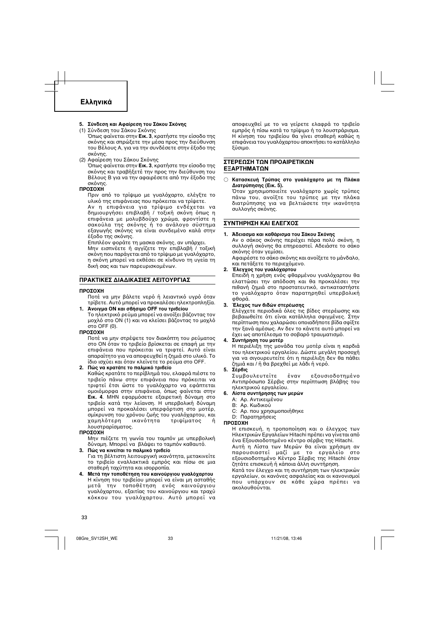### 5. Σύνδεση και Αφαίρεση του Σάκου Σκόνης

(1) Σύνδεση του Σάκου Σκόνης

Όπως φαίνεται στην **Εικ. 3**, κρατήστε την είσοδο της σκόνης και σπρώξετε την μέσα προς την διεύθυνση του Βέλους Α, για να την συνδέσετε στην έξοδο της σκόνης.

(2) Αφαίρεση του Σάκου Σκόνης

Όπως φαίνεται στην **Εικ. 3**, κρατήστε την είσοδο της σκόνης και τραβήξετέ την προς την διεύθυνση του Βέλους Β για να την αφαιρέσετε από την έξοδο της σκόνης.

### $\Pi$ ΡΟΣΟΧΗ

Πριν από το τρίψιμο με γυαλόχαρτο, ελέγξτε το υλικό της επιφάνειας που πρόκειται να τρίψετε.

Αν η επιφάνεια για τρίψιμο ενδέχεται να δημιουργήσει επιβλαβή / τοξική σκόνη όπως η επιφάνεια με μολυβδούχο χρώμα, φροντίστε η σακούλα της σκόνης ή το ανάλογο σύστημα εξαγωγής σκόνης να είναι συνδεμένο καλά στην έξοδο της σκόνης.

Επιπλέον φοράτε τη μασκα σκόνης, αν υπάρχει.

Μην εισπνέετε ή αγγίζετε την επιβλαβή / τοξική σκόνη που παράγεται από το τρίψιμο με γυαλόχαρτο, η σκόνη μπορεί να εκθέσει σε κίνδυνο τη υγεία τη δική σας και των παρευρισκ µένων.

### ΠΡΑΚΤΙΚΕΣ ΔΙΑΔΙΚΑΣΙΕΣ ΛΕΙΤΟΥΡΓΙΑΣ

### **ПРО∑ОХН**

Ποτέ να μην βάλετε νερό ή λειαντικό υγρό όταν τρίβετε. Αυτό μπορεί να προκαλέσει ηλεκτροπληξία.

1. Άνοιγμα ΟΝ και σβήσιμο OFF του τριβείου

Το ηλεκτρικό ρεύμα μπορεί να ανοίξει βάζοντας τον μοχλό στο ON (1) και να κλείσει βάζοντας το μοχλό στ OFF (0).

### $\Pi$ **POΣOXH**

Ποτέ να μην στρέψετε τον διακόπτη του ρεύματος στο ΟΝ όταν το τριβείο βρίσκεται σε επαφή με την επιφάνεια που πρόκειται να τριφτεί. Αυτό είναι απαραίτητο για να αποφευχθεί η ζημιά στο υλικό. Το ίδιο ισχύει και όταν κλείνετε το ρεύμα στο OFF.

### **2. Πώς να κρατάτε το παλυικό τριβείο**

Καθώς κρατάτε το περίβλημά του, ελαφρά πιέστε το τριβείο πάνω στην επιφάνεια που πρόκειται να τριφτεί έτσι ώστε το γυαλόχαρτο να εφάπτεται ομοιόμορφα στην επιφάνεια, όπως φαίνεται στην **Εικ. 4**. ΜΗΝ εφαρμόσετε εξαιρετική δύναμη στο τριβείο κατά την λείανση. Η υπερβολική δύναμη μπορεί να προκαλέσει υπερφόρτιση στο μοτέρ, σμίκρυνση του χρόνου ζωής του γυαλόχαρτου, και χαμηλότερη ικανότητα τριψίματος ή λουστραρίσματος.

### $\P$ **D**  $\Omega$ ХОХН

Μην πιέζετε τη γωνία του ταμπόν με υπερβολική δύναμη. Μπορεί να βλάψει το ταμπόν καθαυτό.

3. Πώς να κινείται το παλμικό τρι**βείο** 

Για τη βέλτιστη λειτουργική ικανότητα, μετακινείτε το τριβείο εναλλακτικά εμπρός και πίσω σε μια σταθερή ταχύτητα και ισορροπία.

#### 4. Μετά την τοποθέτηση του καινούργιου γυαλόχαρτου Η κίνηση του τριβείου μπορεί να είναι μη ασταθής μετά την τοποθέτηση ενός καινούργιου γυαλόχαρτου, εξαιτίας του καινούργιου και τραχύ κόκκου του γυαλόχαρτου. Αυτό μπορεί να

αποφευχθεί με το να γείρετε ελαφρά το τριβείο εμπρός ή πίσω κατά το τρίψιμο ή το λουστράρισμα. Η κίνηση του τριβείου θα γίνει σταθερή καθώς η επιφάνεια του γυαλόχαρτου αποκτήσει το κατάλληλο ξύσιμο.

### ΣΤΕΡΕΩΣΗ ΤΩΝ ΠΡΟΑΙΡΕΤΙΚΩΝ **ΕΞΑΡΤΗΜΑΤΩΝ**

 $\circlearrowright$  Κατασκευή Τρύπας στο γυαλόχαρτο με τη Πλάκα  $Δ$ ιατρύπησης (Εικ. 5).

Όταν χρησιμοποιείτε γυαλόχαρτο χωρίς τρύπες πάνω του, ανοίξτε του τρύπες με την πλάκα διατρύπησης για να βελτιώσετε την ικανότητα συλλογής σκόνης.

### ΣΥΝΤΗΡΗΣΗ ΚΑΙ ΕΛΕΓΧΟΣ

### 1. Άδειασμα και καθάρισμα του Σάκου Σκόνης

Αν ο σάκος σκόνης περιέχει πάρα πολύ σκόνη, η συλλογή σκόνης θα επηρεαστεί. Αδειάστε το σάκο σκόνης όταν νεμίσει.

Αφαιρέστε το σάκο σκόνης και ανοίξετε το μάνδαλο, και πετάξετε το περιεχόμενο.

### **2. Έλεννος του νυαλόγαρτου**

Επειδή η χρήση ενός φθαρμένου γυαλόχαρτου θα ελαττώσει την απόδοση και θα προκαλέσει την πιθανή ζημιά στο προστατευτικό, αντικαταστήστε το γυαλόχαρτο όταν παρατηρηθεί υπερβολική θ ρά.

### 3. Έλεχος των **βιδών στερέωσης**

Ελέγχετε περιοδικά όλες τις βίδες στερέωσης και βεβαιωθείτε ότι είναι κατάλληλα σφιγμένες. Στην περίπτωση που χαλαρώσει οποιαδήποτε βίδα σφίξτε την ξανά αμέσως. Αν δεν το κάνετε αυτό μπορεί να έχει ως αποτέλεσμα το σοβαρό τραυματισμό.

### 4. Συντήρηση του μοτέρ

Η περιέλιξη της μονάδα του μοτέρ είναι η καρδιά του ηλεκτρικού εργαλείου. Δώστε μεγάλη προσοχή για να σιγουρευτείτε ότι η περιέλιξη δεν θα πάθει ζημιά και / ή θα βρεχθεί με λάδι ή νερό.

### **5. Σέρβις**

Συμβουλευτείτε έναν εξο υσιοδοτημένο Αντιπρόσωπο Σέρβις στην περίπτωση βλάβης του ηλεκτρικού εργαλείου.

### 6. Λίστα συντήρησης των μερών

- A: Αρ. Αντικειµέν υ
- B: Αρ. Κωδικ ύ
- C: Αρ. που χρησιμοποιήθηκε
- D: Παρατηρήσεις

### $\Pi$ ΡΟΣΟΧΗ

Η επισκευή, η τροποποίηση και ο έλεγχος των Ηλεκτρικών Εργαλείων Hitachi πρέπει να γίνεται απ ένα Εξουσιοδοτημένο κέντρο σέρβις της Hitachi.

Αυτή η Λίστα των Μερών θα είναι χρήσιμη αν παρουσιαστεί μαζί με το εργαλείο στο εξουσιοδοτημένο Κέντρο Σέρβις της Hitachi όταν ζητάτε επισκευή ή κάποια άλλη συντήρηση.

Κατά τον έλεγχο και τη συντήρηση των ηλεκτρικών εργαλείων, οι κανόνες ασφαλείας και οι κανονισμοί που υπάρχουν σε κάθε χώρα πρέπει να ακ λ υθ ύνται.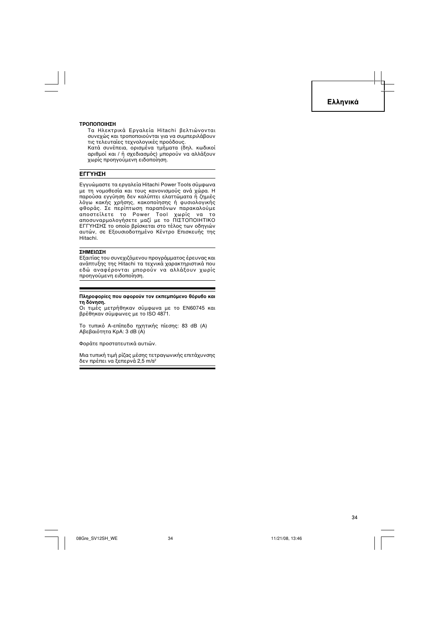### **Ελληνικά**

### **TPOΠOΠOIHΣH**

Τα Ηλεκτρικά Εργαλεία Hitachi βελτιώνονται συνεχώς και τροποποιούνται για να συμπεριλάβουν τις τελευταίες τεχνολογικές προόδους.

Κατά συνέπεια, ορισμένα τμήματα (δηλ. κωδικοί αριθμοί και / ή σχεδιασμός) μπορούν να αλλάξουν χωρίς προηγούμενη ειδοποίηση.

### **ΕΓΓΥΗΣΗ**

Εγγυώµαστε τα εργαλεία Hitachi Power Tools σύµωνα με τη νομοθεσία και τους κανονισμούς ανά χώρα. Η παρούσα εγγύηση δεν καλύπτει ελαττώματα ή ζημιές λόγω κακής χρήσης, κακοποίησης ή φυσιολογικής φθοράς. Σε περίπτωση παραπόνων παρακαλούμε αποστείλετε το Power Tool χωρίς να το αποσυναρμολογήσετε μαζί με το ΠΙΣΤΟΠΟΙΗΤΙΚΟ ΕΓΓΥΗΣΗΣ το οποίο βρίσκεται στο τέλος των οδηγιών αυτών, σε Εξουσιοδοτημένο Κέντρο Επισκευής της Hitachi.

### ΣΗΜΕΙΩΣΗ

Εξαιτίας του συνεχιζόμενου προγράμματος έρευνας και ανάπτυξης της Hitachi τα τεχνικά χαρακτηριστικά που εδώ αναφέρονται μπορούν να αλλάξουν χωρίς προηγούμενη ειδοποίηση.

### Πληροφορίες που αφορούν τον εκπεμπόμενο θόρυβο και **τη δόνηση.**

Oι τιµές µετρήθηκαν σύµωνα µε τ EN60745 και βρέθηκαν σύμφωνες με το ISO 4871.

Το τυπικό Α-επίπεδο ηχητικής πίεσης: 83 dB (A) Αβεβαιότητα KpA: 3 dB (A)

Φ ράτε πρ στατευτικά αυτιών.

Mια τυπική τιμή ρίζας μέσης τετραγωνικής επιτάχυνσης δεν πρέπει να επερνά 2,5 m/s2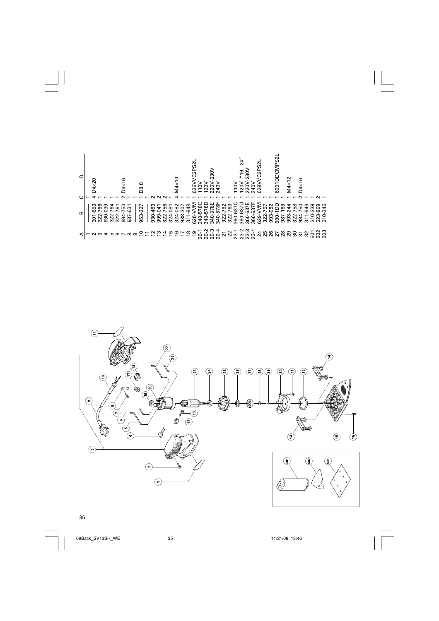|   | D4×20      |        |   |   |                                                         | D4×16 |  | $\infty$<br>$\frac{8}{2}$ |             |  | M4×10 |                                                                     | 2PS2 |  | 826V<br>120V<br>120V<br>240V |  | $\overline{2}$ | 1.230V | C <sub>2</sub> P <sub>S2</sub><br>7222222<br>722323<br>723232 |  | 6001DDCMPS2 | $MA \times 12$ | D4×16 |                                                                                                                                                                                                                                                                                                                                                                                                                                                                                                               |            |  |
|---|------------|--------|---|---|---------------------------------------------------------|-------|--|---------------------------|-------------|--|-------|---------------------------------------------------------------------|------|--|------------------------------|--|----------------|--------|---------------------------------------------------------------|--|-------------|----------------|-------|---------------------------------------------------------------------------------------------------------------------------------------------------------------------------------------------------------------------------------------------------------------------------------------------------------------------------------------------------------------------------------------------------------------------------------------------------------------------------------------------------------------|------------|--|
|   | ෑ          |        |   |   | $- - - - -$                                             |       |  | $- - -$                   |             |  |       | $\mathbf{N} \mathbf{N} \mathbf{N} \mathbf{N} \mathbf{N} \mathbf{N}$ |      |  |                              |  |                |        |                                                               |  |             |                |       |                                                                                                                                                                                                                                                                                                                                                                                                                                                                                                               | $\sim$ $-$ |  |
| ≃ | ო<br>ഥ     | ဖ<br>ဖ | ო | ᡪ | ဖ ဖ ဖ က<br>6 ٺ ٺ ٺ ني ني ني<br>8888885<br>m m m m m m m | っ     |  | 32<br>- 11<br>Ġ,<br>თ     | ₽<br>ౚ<br>თ |  |       |                                                                     |      |  |                              |  |                |        |                                                               |  |             |                |       | $\begin{array}{l} \begin{array}{l} \begin{array}{l} \begin{array}{l} \begin{array}{l} \begin{array}{l} \begin{array}{l} \begin{array}{l} \begin{array}{l} \begin{array}{l} \mathbf{1} \\ \mathbf{2} \end{array} \end{array} & \begin{array}{l} \mathbf{2} \\ \mathbf{3} \end{array} & \begin{array}{l} \mathbf{3} \\ \mathbf{4} \end{array} & \begin{array}{l} \mathbf{4} \\ \mathbf{5} \end{array} & \begin{array}{l} \mathbf{5} \\ \mathbf{4} \end{array} & \begin{array}{l} \mathbf{5} \\ \mathbf{4} \end$ |            |  |
|   | - 23456189 |        |   |   |                                                         |       |  |                           |             |  |       |                                                                     |      |  | <b>コロロコトロワロロンシュ</b>          |  |                |        |                                                               |  |             |                |       |                                                                                                                                                                                                                                                                                                                                                                                                                                                                                                               |            |  |

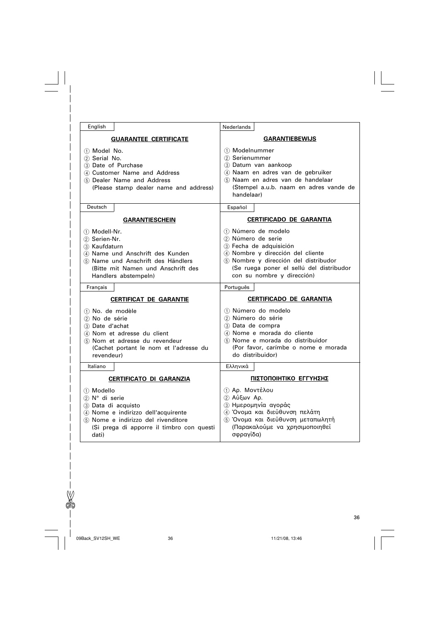| English                                                                                                                                                                               | Nederlands                                                                                                                                                                                                                    |
|---------------------------------------------------------------------------------------------------------------------------------------------------------------------------------------|-------------------------------------------------------------------------------------------------------------------------------------------------------------------------------------------------------------------------------|
|                                                                                                                                                                                       |                                                                                                                                                                                                                               |
| <b>GUARANTEE CERTIFICATE</b>                                                                                                                                                          | <b>GARANTIEBEWIJS</b>                                                                                                                                                                                                         |
| ① Model No.<br>2 Serial No.<br>3) Date of Purchase<br>4 Customer Name and Address<br>(5) Dealer Name and Address<br>(Please stamp dealer name and address)                            | 1 Modelnummer<br>2 Serienummer<br>3) Datum van aankoop<br>4) Naam en adres van de gebruiker<br>(5) Naam en adres van de handelaar<br>(Stempel a.u.b. naam en adres vande de<br>handelaar)                                     |
| Deutsch                                                                                                                                                                               | Español                                                                                                                                                                                                                       |
| <b>GARANTIESCHEIN</b>                                                                                                                                                                 | <b>CERTIFICADO DE GARANTIA</b>                                                                                                                                                                                                |
| ① Modell-Nr.<br>2 Serien-Nr.<br>3 Kaufdaturn<br>4) Name und Anschrift des Kunden<br>(5) Name und Anschrift des Händlers<br>(Bitte mit Namen und Anschrift des<br>Handlers abstempeln) | (1) Número de modelo<br>2 Número de serie<br>3) Fecha de adquisición<br>4) Nombre y dirección del cliente<br>(5) Nombre y dirección del distribudor<br>(Se ruega poner el sellú del distribudor<br>con su nombre y dirección) |
| Français                                                                                                                                                                              | Português                                                                                                                                                                                                                     |
| <b>CERTIFICAT DE GARANTIE</b>                                                                                                                                                         | <b>CERTIFICADO DE GARANTIA</b>                                                                                                                                                                                                |
| 1) No. de modèle<br>2 No de série<br>3) Date d'achat<br>4) Nom et adresse du client<br>(5) Nom et adresse du revendeur<br>(Cachet portant le nom et l'adresse du<br>revendeur)        | 1) Número do modelo<br>2 Número do série<br>3 Data de compra<br>4) Nome e morada do cliente<br>(5) Nome e morada do distribuidor<br>(Por favor, carímbe o nome e morada<br>do distribuidor)                                   |
| Italiano                                                                                                                                                                              | Ελληνικά                                                                                                                                                                                                                      |
| <b>CERTIFICATO DI GARANZIA</b>                                                                                                                                                        | ΠΙΣΤΟΠΟΙΗΤΙΚΟ ΕΓΓΥΗΣΗΣ                                                                                                                                                                                                        |
| (1) Modello<br>2) N° di serie<br>3 Data di acquisto<br>4) Nome e indirizzo dell'acquirente<br>(5) Nome e indirizzo del rivenditore<br>(Si prega di apporre il timbro con questi       | (1) Ap. Moντέλου<br>2 Αὐξων Αρ.<br>3 Ημερομηνία αγοράς<br>4) Όνομα και διεύθυνση πελάτη<br><b>(5) Όνομα και διεύθυνση μεταπωλητή</b><br>(Παρακαλούμε να χρησιμοποιηθεί                                                        |

 $\overline{\phantom{a}}$ ✄

 $\overline{\phantom{a}}$  $\overline{\phantom{a}}$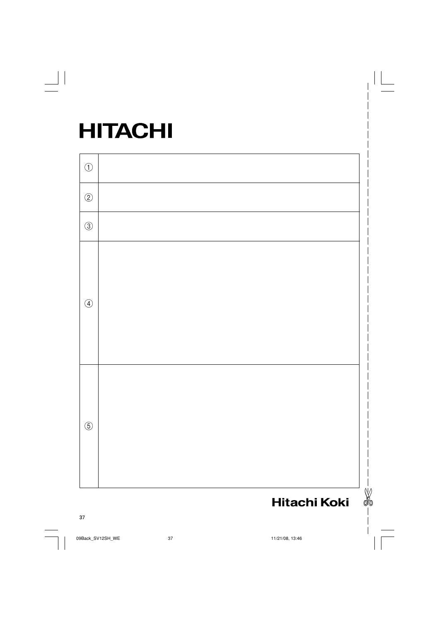# **HITACHI**

| $\bigcirc$                    |                     |  |
|-------------------------------|---------------------|--|
| $\circled{2}$                 |                     |  |
| $\circled{3}$                 |                     |  |
| $\bigcircled{\scriptstyle 4}$ |                     |  |
| $\circledS$                   |                     |  |
|                               | <b>Hitachi Koki</b> |  |

## **Hitachi Koki**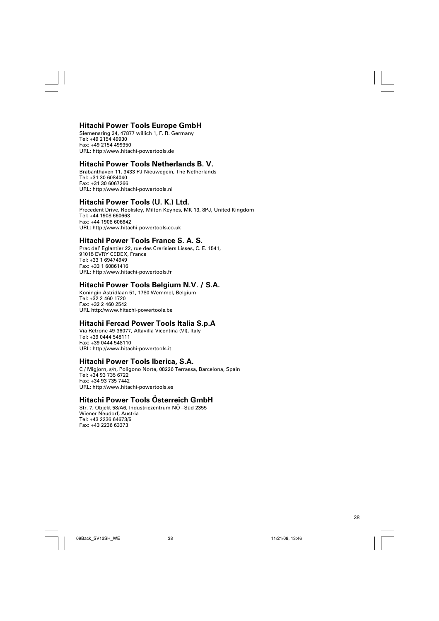### **Hitachi Power Tools Europe GmbH**

Siemensring 34, 47877 willich 1, F. R. Germany Tel: +49 2154 49930 Fax: +49 2154 499350 URL: http://www.hitachi-powertools.de

### **Hitachi Power Tools Netherlands B. V.**

Brabanthaven 11, 3433 PJ Nieuwegein, The Netherlands Tel: +31 30 6084040 Fax: +31 30 6067266 URL: http://www.hitachi-powertools.nl

### **Hitachi Power Tools (U. K.) Ltd.**

Precedent Drive, Rooksley, Milton Keynes, MK 13, 8PJ, United Kingdom Tel: +44 1908 660663 Fax: +44 1908 606642 URL: http://www.hitachi-powertools.co.uk

### **Hitachi Power Tools France S. A. S.**

Prac del' Eglantier 22, rue des Crerisiers Lisses, C. E. 1541, 91015 EVRY CEDEX, France Tel: +33 1 69474949 Fax: +33 1 60861416 URL: http://www.hitachi-powertools.fr

### **Hitachi Power Tools Belgium N.V. / S.A.**

Koningin Astridlaan 51, 1780 Wemmel, Belgium Tel: +32 2 460 1720 Fax: +32 2 460 2542 URL http://www.hitachi-powertools.be

### **Hitachi Fercad Power Tools Italia S.p.A**

Via Retrone 49-36077, Altavilla Vicentina (VI), Italy Tel: +39 0444 548111 Fax: +39 0444 548110 URL: http://www.hitachi-powertools.it

### **Hitachi Power Tools lberica, S.A.**

C / Migjorn, s/n, Poligono Norte, 08226 Terrassa, Barcelona, Spain Tel: +34 93 735 6722 Fax: +34 93 735 7442 URL: http://www.hitachi-powertools.es

### **Hitachi Power Tools Österreich GmbH**

Str. 7, Objekt 58/A6, Industriezentrum NÖ –Süd 2355 Wiener Neudorf, Austria Tel: +43 2236 64673/5 Fax: +43 2236 63373